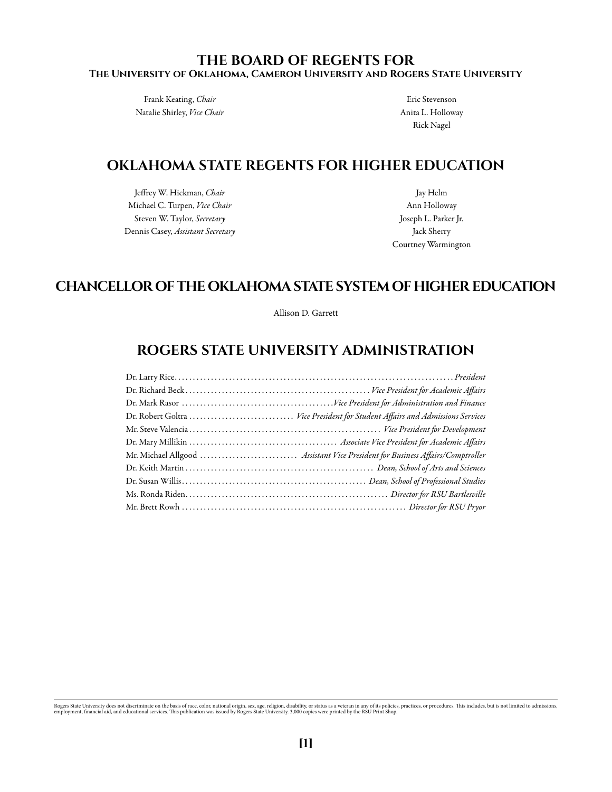### **THE BOARD OF REGENTS FOR The University of Oklahoma, Cameron University and Rogers State University**

Frank Keating, *Chair* Natalie Shirley, *Vice Chair*

Eric Stevenson Anita L. Holloway Rick Nagel

## **OKLAHOMA STATE REGENTS FOR HIGHER EDUCATION**

Jeffrey W. Hickman, *Chair* Michael C. Turpen, *Vice Chair* Steven W. Taylor, *Secretary* Dennis Casey, *Assistant Secretary*

Jay Helm Ann Holloway Joseph L. Parker Jr. Jack Sherry Courtney Warmington

### **CHANCELLOR OF THE OKLAHOMA STATE SYSTEM OF HIGHER EDUCATION**

Allison D. Garrett

# **ROGERS STATE UNIVERSITY ADMINISTRATION**

| Dr. Robert Goltra  Vice President for Student Affairs and Admissions Services |
|-------------------------------------------------------------------------------|
|                                                                               |
|                                                                               |
|                                                                               |
|                                                                               |
|                                                                               |
|                                                                               |
|                                                                               |

Rogers State University does not discriminate on the basis of race, color, national origin, sex, age, religion, disability, or status as a veteran in any of its policies, practices, or procedures. This includes, but is not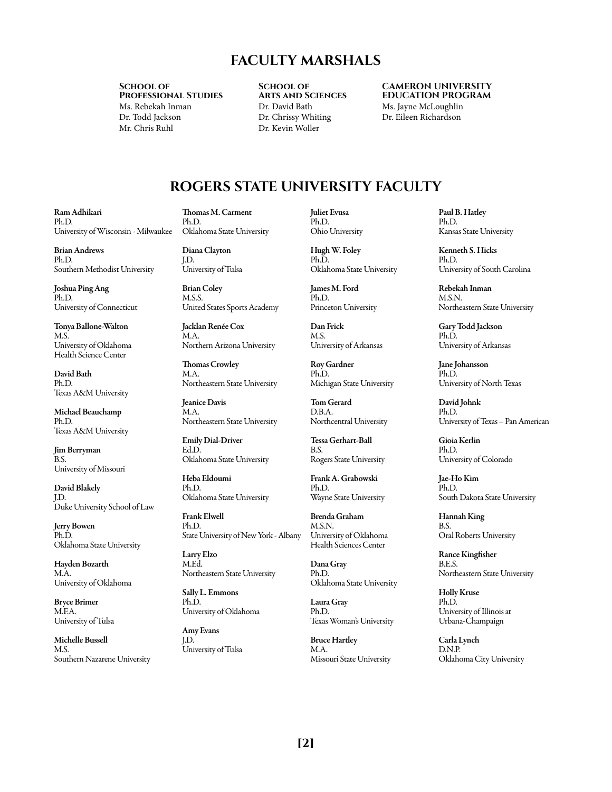### **FACULTY MARSHALS**

**School of Professional Studies**

Ms. Rebekah Inman Dr. Todd Jackson Mr. Chris Ruhl

**School of Arts and Sciences** Dr. David Bath Dr. Chrissy Whiting Dr. Kevin Woller

#### **CAMERON UNIVERSITY EDUCATION PROGRAM**

Ms. Jayne McLoughlin Dr. Eileen Richardson

# **ROGERS STATE UNIVERSITY FACULTY**

Ram Adhikari Ph.D. University of Wisconsin - Milwaukee

Brian Andrews Ph.D. Southern Methodist University

Joshua Ping Ang Ph.D. University of Connecticut

Tonya Ballone-Walton M.S. University of Oklahoma Health Science Center

David Bath Ph.D. Texas A&M University

Michael Beauchamp Ph.D. Texas A&M University

Jim Berryman B.S. University of Missouri

David Blakely J.D. Duke University School of Law

Jerry Bowen Ph.D. Oklahoma State University

Hayden Bozarth M.A. University of Oklahoma

Bryce Brimer M.F.A. University of Tulsa

Michelle Bussell M.S. Southern Nazarene University

Thomas M. Carment Ph.D. Oklahoma State University

Diana Clayton J.D. University of Tulsa

Brian Coley M.S.S. United States Sports Academy

Jacklan Renée Cox M.A. Northern Arizona University

Thomas Crowley M.A. Northeastern State University

Jeanice Davis M.A. Northeastern State University

Emily Dial-Driver Ed.D. Oklahoma State University

Heba Eldoumi Ph.D. Oklahoma State University

Frank Elwell Ph.D. State University of New York - Albany

Larry Elzo M.Ed. Northeastern State University

Sally L. Emmons Ph.D. University of Oklahoma

Amy Evans J.D. University of Tulsa Juliet Evusa Ph.D. Ohio University

Hugh W. Foley Ph.D. Oklahoma State University

James M. Ford Ph.D. Princeton University

Dan Frick M.S. University of Arkansas

Roy Gardner Ph.D. Michigan State University

Tom Gerard D.B.A. Northcentral University

Tessa Gerhart-Ball B.S. Rogers State University

Frank A. Grabowski Ph.D. Wayne State University

Brenda Graham M.S.N. University of Oklahoma Health Sciences Center

Dana Gray Ph.D. Oklahoma State University

Laura Gray Ph.D. Texas Woman's University

Bruce Hartley M.A. Missouri State University Paul B. Hatley Ph.D. Kansas State University

Kenneth S. Hicks Ph.D. University of South Carolina

Rebekah Inman M.S.N. Northeastern State University

Gary Todd Jackson Ph.D. University of Arkansas

Jane Johansson Ph.D. University of North Texas

David Johnk Ph.D. University of Texas – Pan American

Gioia Kerlin Ph.D. University of Colorado

Jae-Ho Kim Ph.D. South Dakota State University

Hannah King B.S. Oral Roberts University

Rance Kingfisher B.E.S. Northeastern State University

Holly Kruse Ph.D. University of Illinois at Urbana-Champaign

Carla Lynch D.N.P. Oklahoma City University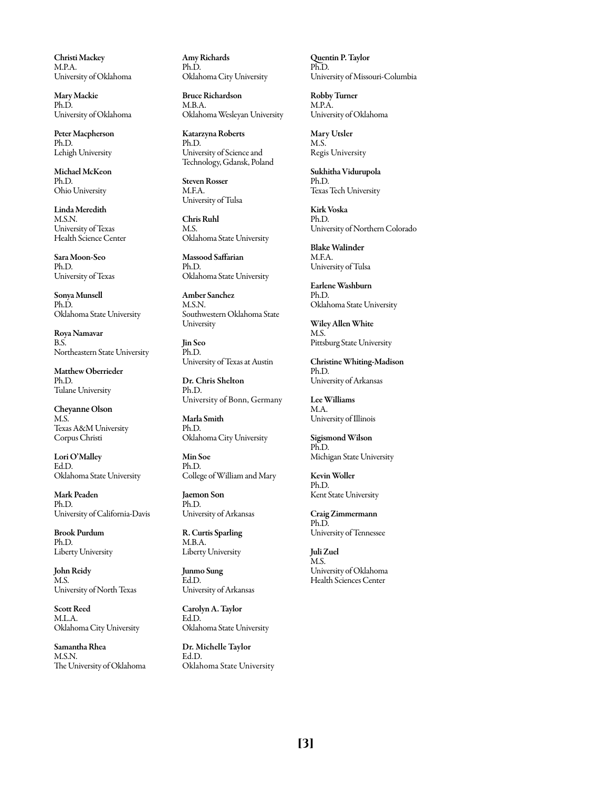Christi Mackey M.P.A. University of Oklahoma

Mary Mackie Ph.D. University of Oklahoma

Peter Macpherson Ph.D. Lehigh University

Michael McKeon Ph.D. Ohio University

Linda Meredith M.S.N. University of Texas Health Science Center

Sara Moon-Seo Ph.D. University of Texas

Sonya Munsell Ph.D. Oklahoma State University

Roya Namavar B.S. Northeastern State University

Matthew Oberrieder Ph.D. Tulane University

**Cheyanne Olson** M.S. Texas A&M University Corpus Christi

Lori O'Malley Ed.D. Oklahoma State University

Mark Peaden Ph.D. University of California-Davis

Brook Purdum Ph.D. Liberty University

John Reidy M.S. University of North Texas

Scott Reed M.L.A. Oklahoma City University

Samantha Rhea M.S.N. The University of Oklahoma Amy Richards Ph.D. Oklahoma City University

Bruce Richardson M.B.A. Oklahoma Wesleyan University

Katarzyna Roberts Ph.D. University of Science and Technology, Gdansk, Poland

Steven Rosser M.F.A. University of Tulsa

Chris Ruhl M.S. Oklahoma State University

Massood Saffarian Ph.D. Oklahoma State University

Amber Sanchez M.S.N. Southwestern Oklahoma State University

Jin Seo Ph.D. University of Texas at Austin

Dr. Chris Shelton Ph.D. University of Bonn, Germany

Marla Smith Ph.D. Oklahoma City University

Min Soe Ph.D. College of William and Mary

**Jaemon Son** Ph.D. University of Arkansas

R. Curtis Sparling M.B.A. Liberty University

Junmo Sung Ed.D. University of Arkansas

Carolyn A. Taylor Ed.D. Oklahoma State University

Dr. Michelle Taylor Ed.D. Oklahoma State University

Quentin P. Taylor Ph.D. University of Missouri-Columbia

Robby Turner M.P.A. University of Oklahoma

Mary Utsler M.S. Regis University

Sukhitha Vidurupola Ph.D. Texas Tech University

Kirk Voska Ph.D. University of Northern Colorado

**Blake Walinder** M.F.A. University of Tulsa

Earlene Washburn Ph.D. Oklahoma State University

Wiley Allen White M.S. Pittsburg State University

Christine Whiting-Madison Ph.D. University of Arkansas

Lee Williams M.A. University of Illinois

Sigismond Wilson Ph.D. Michigan State University

Kevin Woller Ph.D. Kent State University

Craig Zimmermann Ph.D. University of Tennessee

Juli Zuel M.S. University of Oklahoma Health Sciences Center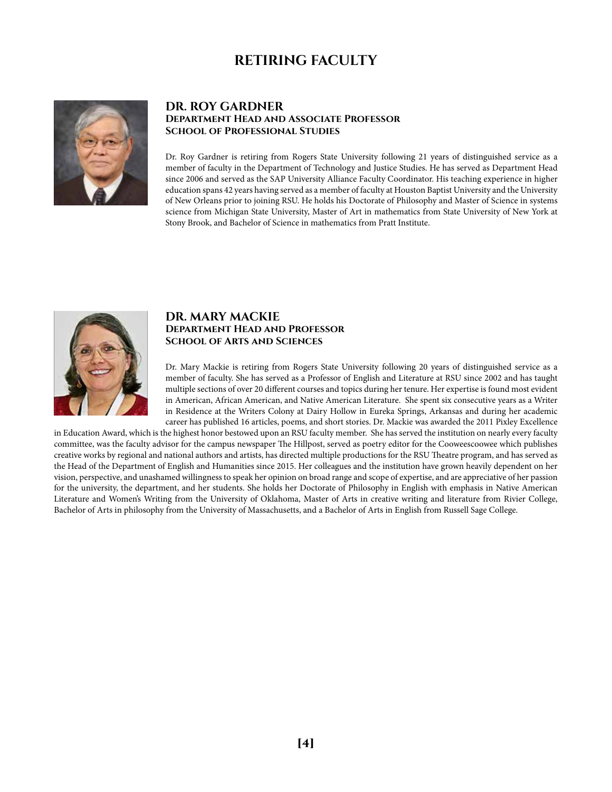# **RETIRING FACULTY**



#### **DR. ROY GARDNER Department Head and Associate Professor School of Professional Studies**

Dr. Roy Gardner is retiring from Rogers State University following 21 years of distinguished service as a member of faculty in the Department of Technology and Justice Studies. He has served as Department Head since 2006 and served as the SAP University Alliance Faculty Coordinator. His teaching experience in higher education spans 42 years having served as a member of faculty at Houston Baptist University and the University of New Orleans prior to joining RSU. He holds his Doctorate of Philosophy and Master of Science in systems science from Michigan State University, Master of Art in mathematics from State University of New York at Stony Brook, and Bachelor of Science in mathematics from Pratt Institute.



#### **DR. MARY MACKIE Department Head and Professor School of Arts and Sciences**

Dr. Mary Mackie is retiring from Rogers State University following 20 years of distinguished service as a member of faculty. She has served as a Professor of English and Literature at RSU since 2002 and has taught multiple sections of over 20 different courses and topics during her tenure. Her expertise is found most evident in American, African American, and Native American Literature. She spent six consecutive years as a Writer in Residence at the Writers Colony at Dairy Hollow in Eureka Springs, Arkansas and during her academic career has published 16 articles, poems, and short stories. Dr. Mackie was awarded the 2011 Pixley Excellence

in Education Award, which is the highest honor bestowed upon an RSU faculty member. She has served the institution on nearly every faculty committee, was the faculty advisor for the campus newspaper The Hillpost, served as poetry editor for the Cooweescoowee which publishes creative works by regional and national authors and artists, has directed multiple productions for the RSU Theatre program, and has served as the Head of the Department of English and Humanities since 2015. Her colleagues and the institution have grown heavily dependent on her vision, perspective, and unashamed willingness to speak her opinion on broad range and scope of expertise, and are appreciative of her passion for the university, the department, and her students. She holds her Doctorate of Philosophy in English with emphasis in Native American Literature and Women's Writing from the University of Oklahoma, Master of Arts in creative writing and literature from Rivier College, Bachelor of Arts in philosophy from the University of Massachusetts, and a Bachelor of Arts in English from Russell Sage College.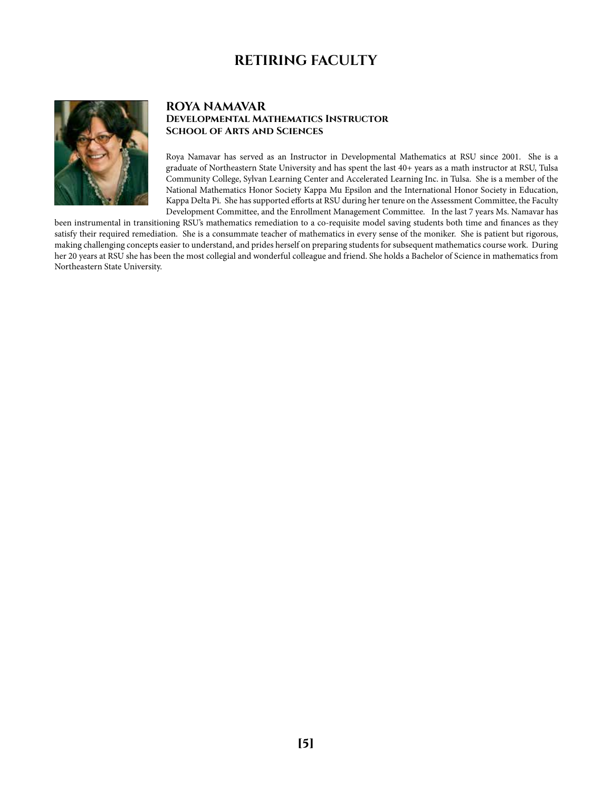# **RETIRING FACULTY**



#### **ROYA NAMAVAR Developmental Mathematics Instructor School of Arts and Sciences**

Roya Namavar has served as an Instructor in Developmental Mathematics at RSU since 2001. She is a graduate of Northeastern State University and has spent the last 40+ years as a math instructor at RSU, Tulsa Community College, Sylvan Learning Center and Accelerated Learning Inc. in Tulsa. She is a member of the National Mathematics Honor Society Kappa Mu Epsilon and the International Honor Society in Education, Kappa Delta Pi. She has supported efforts at RSU during her tenure on the Assessment Committee, the Faculty Development Committee, and the Enrollment Management Committee. In the last 7 years Ms. Namavar has

been instrumental in transitioning RSU's mathematics remediation to a co-requisite model saving students both time and finances as they satisfy their required remediation. She is a consummate teacher of mathematics in every sense of the moniker. She is patient but rigorous, making challenging concepts easier to understand, and prides herself on preparing students for subsequent mathematics course work. During her 20 years at RSU she has been the most collegial and wonderful colleague and friend. She holds a Bachelor of Science in mathematics from Northeastern State University.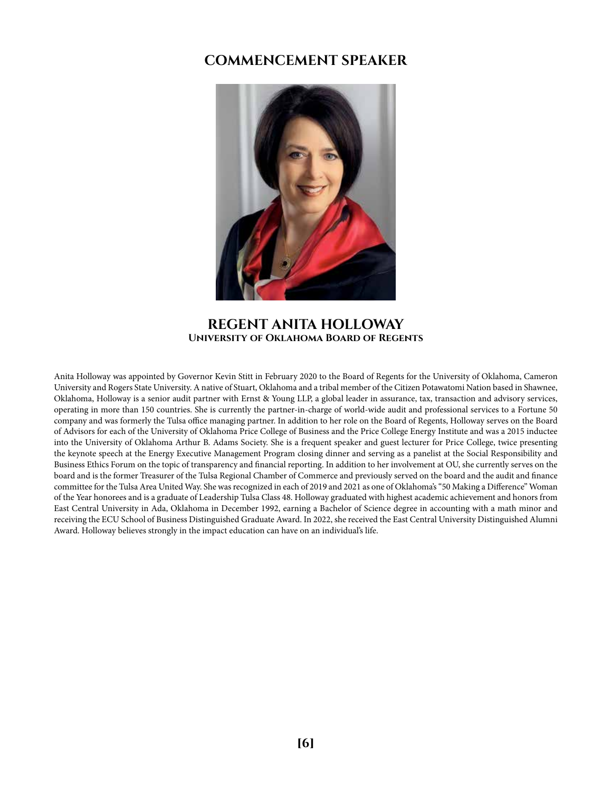### **COMMENCEMENT SPEAKER**



#### **REGENT ANITA HOLLOWAY University of Oklahoma Board of Regents**

Anita Holloway was appointed by Governor Kevin Stitt in February 2020 to the Board of Regents for the University of Oklahoma, Cameron University and Rogers State University. A native of Stuart, Oklahoma and a tribal member of the Citizen Potawatomi Nation based in Shawnee, Oklahoma, Holloway is a senior audit partner with Ernst & Young LLP, a global leader in assurance, tax, transaction and advisory services, operating in more than 150 countries. She is currently the partner-in-charge of world-wide audit and professional services to a Fortune 50 company and was formerly the Tulsa office managing partner. In addition to her role on the Board of Regents, Holloway serves on the Board of Advisors for each of the University of Oklahoma Price College of Business and the Price College Energy Institute and was a 2015 inductee into the University of Oklahoma Arthur B. Adams Society. She is a frequent speaker and guest lecturer for Price College, twice presenting the keynote speech at the Energy Executive Management Program closing dinner and serving as a panelist at the Social Responsibility and Business Ethics Forum on the topic of transparency and financial reporting. In addition to her involvement at OU, she currently serves on the board and is the former Treasurer of the Tulsa Regional Chamber of Commerce and previously served on the board and the audit and finance committee for the Tulsa Area United Way. She was recognized in each of 2019 and 2021 as one of Oklahoma's "50 Making a Difference" Woman of the Year honorees and is a graduate of Leadership Tulsa Class 48. Holloway graduated with highest academic achievement and honors from East Central University in Ada, Oklahoma in December 1992, earning a Bachelor of Science degree in accounting with a math minor and receiving the ECU School of Business Distinguished Graduate Award. In 2022, she received the East Central University Distinguished Alumni Award. Holloway believes strongly in the impact education can have on an individual's life.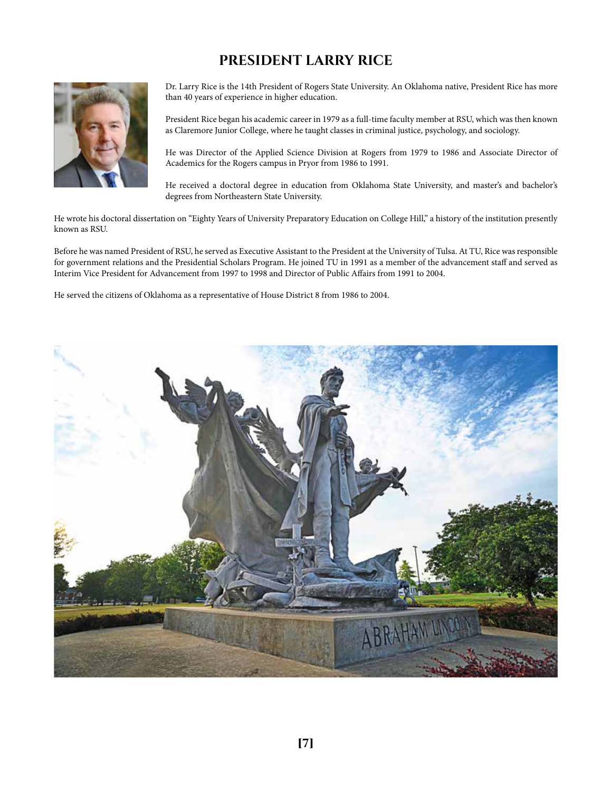# **PRESIDENT LARRY RICE**



Dr. Larry Rice is the 14th President of Rogers State University. An Oklahoma native, President Rice has more than 40 years of experience in higher education.

President Rice began his academic career in 1979 as a full-time faculty member at RSU, which was then known as Claremore Junior College, where he taught classes in criminal justice, psychology, and sociology.

He was Director of the Applied Science Division at Rogers from 1979 to 1986 and Associate Director of Academics for the Rogers campus in Pryor from 1986 to 1991.

He received a doctoral degree in education from Oklahoma State University, and master's and bachelor's degrees from Northeastern State University.

He wrote his doctoral dissertation on "Eighty Years of University Preparatory Education on College Hill," a history of the institution presently known as RSU.

Before he was named President of RSU, he served as Executive Assistant to the President at the University of Tulsa. At TU, Rice was responsible for government relations and the Presidential Scholars Program. He joined TU in 1991 as a member of the advancement staff and served as Interim Vice President for Advancement from 1997 to 1998 and Director of Public Affairs from 1991 to 2004.

He served the citizens of Oklahoma as a representative of House District 8 from 1986 to 2004.

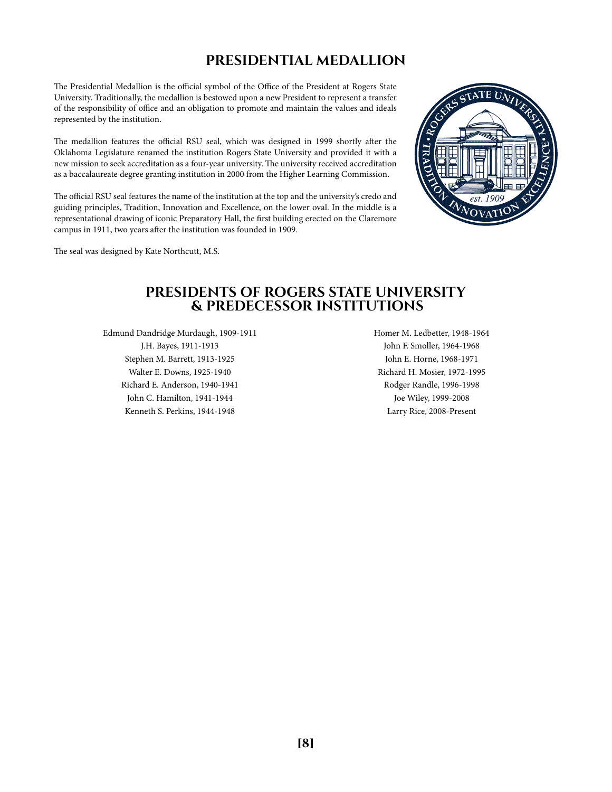## **PRESIDENTIAL MEDALLION**

The Presidential Medallion is the official symbol of the Office of the President at Rogers State University. Traditionally, the medallion is bestowed upon a new President to represent a transfer of the responsibility of office and an obligation to promote and maintain the values and ideals represented by the institution.

The medallion features the official RSU seal, which was designed in 1999 shortly after the Oklahoma Legislature renamed the institution Rogers State University and provided it with a new mission to seek accreditation as a four-year university. The university received accreditation as a baccalaureate degree granting institution in 2000 from the Higher Learning Commission.

The official RSU seal features the name of the institution at the top and the university's credo and guiding principles, Tradition, Innovation and Excellence, on the lower oval. In the middle is a representational drawing of iconic Preparatory Hall, the first building erected on the Claremore campus in 1911, two years after the institution was founded in 1909.

The seal was designed by Kate Northcutt, M.S.



### **PRESIDENTS OF ROGERS STATE UNIVERSITY & PREDECESSOR INSTITUTIONS**

Edmund Dandridge Murdaugh, 1909-1911 J.H. Bayes, 1911-1913 Stephen M. Barrett, 1913-1925 Walter E. Downs, 1925-1940 Richard E. Anderson, 1940-1941 John C. Hamilton, 1941-1944 Kenneth S. Perkins, 1944-1948

Homer M. Ledbetter, 1948-1964 John F. Smoller, 1964-1968 John E. Horne, 1968-1971 Richard H. Mosier, 1972-1995 Rodger Randle, 1996-1998 Joe Wiley, 1999-2008 Larry Rice, 2008-Present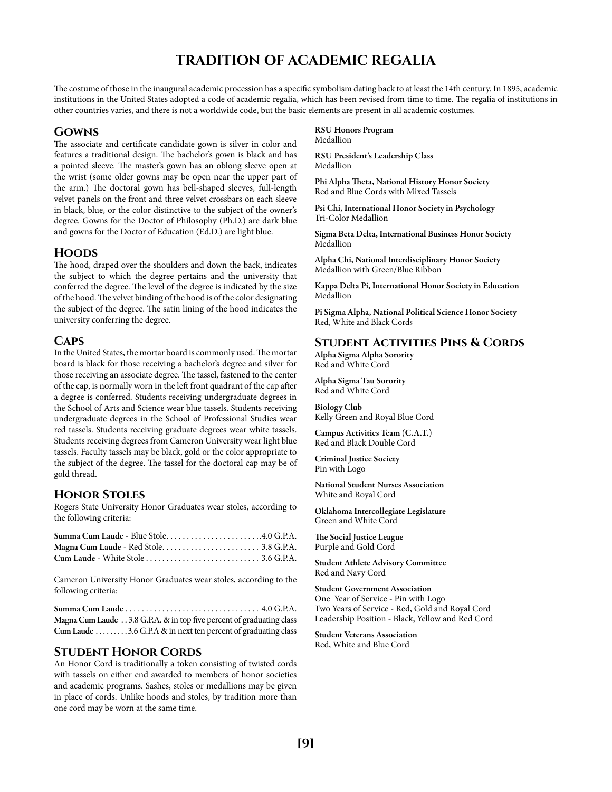# **TRADITION OF ACADEMIC REGALIA**

The costume of those in the inaugural academic procession has a specific symbolism dating back to at least the 14th century. In 1895, academic institutions in the United States adopted a code of academic regalia, which has been revised from time to time. The regalia of institutions in other countries varies, and there is not a worldwide code, but the basic elements are present in all academic costumes.

#### **Gowns**

The associate and certificate candidate gown is silver in color and features a traditional design. The bachelor's gown is black and has a pointed sleeve. The master's gown has an oblong sleeve open at the wrist (some older gowns may be open near the upper part of the arm.) The doctoral gown has bell-shaped sleeves, full-length velvet panels on the front and three velvet crossbars on each sleeve in black, blue, or the color distinctive to the subject of the owner's degree. Gowns for the Doctor of Philosophy (Ph.D.) are dark blue and gowns for the Doctor of Education (Ed.D.) are light blue.

#### **Hoods**

The hood, draped over the shoulders and down the back, indicates the subject to which the degree pertains and the university that conferred the degree. The level of the degree is indicated by the size of the hood. The velvet binding of the hood is of the color designating the subject of the degree. The satin lining of the hood indicates the university conferring the degree.

### **Caps**

In the United States, the mortar board is commonly used. The mortar board is black for those receiving a bachelor's degree and silver for those receiving an associate degree. The tassel, fastened to the center of the cap, is normally worn in the left front quadrant of the cap after a degree is conferred. Students receiving undergraduate degrees in the School of Arts and Science wear blue tassels. Students receiving undergraduate degrees in the School of Professional Studies wear red tassels. Students receiving graduate degrees wear white tassels. Students receiving degrees from Cameron University wear light blue tassels. Faculty tassels may be black, gold or the color appropriate to the subject of the degree. The tassel for the doctoral cap may be of gold thread.

### **Honor Stoles**

Rogers State University Honor Graduates wear stoles, according to the following criteria:

| Summa Cum Laude - Blue Stole4.0 G.P.A. |  |
|----------------------------------------|--|
|                                        |  |
|                                        |  |

Cameron University Honor Graduates wear stoles, according to the following criteria:

Summa Cum Laude . . 4.0 G.P.A. Magna Cum Laude . . 3.8 G.P.A. & in top five percent of graduating class Cum Laude . . . . . . . . . 3.6 G.P.A & in next ten percent of graduating class

### **Student Honor Cords**

An Honor Cord is traditionally a token consisting of twisted cords with tassels on either end awarded to members of honor societies and academic programs. Sashes, stoles or medallions may be given in place of cords. Unlike hoods and stoles, by tradition more than one cord may be worn at the same time.

RSU Honors Program Medallion

RSU President's Leadership Class Medallion

Phi Alpha Theta, National History Honor Society Red and Blue Cords with Mixed Tassels

Psi Chi, International Honor Society in Psychology Tri-Color Medallion

Sigma Beta Delta, International Business Honor Society Medallion

Alpha Chi, National Interdisciplinary Honor Society Medallion with Green/Blue Ribbon

Kappa Delta Pi, International Honor Society in Education Medallion

Pi Sigma Alpha, National Political Science Honor Society Red, White and Black Cords

#### **Student Activities Pins & Cords**

Alpha Sigma Alpha Sorority Red and White Cord

Alpha Sigma Tau Sorority Red and White Cord

Biology Club Kelly Green and Royal Blue Cord

Campus Activities Team (C.A.T.) Red and Black Double Cord

Criminal Justice Society Pin with Logo

National Student Nurses Association White and Royal Cord

Oklahoma Intercollegiate Legislature Green and White Cord

The Social Justice League Purple and Gold Cord

Student Athlete Advisory Committee Red and Navy Cord

Student Government Association One Year of Service - Pin with Logo Two Years of Service - Red, Gold and Royal Cord Leadership Position - Black, Yellow and Red Cord

Student Veterans Association Red, White and Blue Cord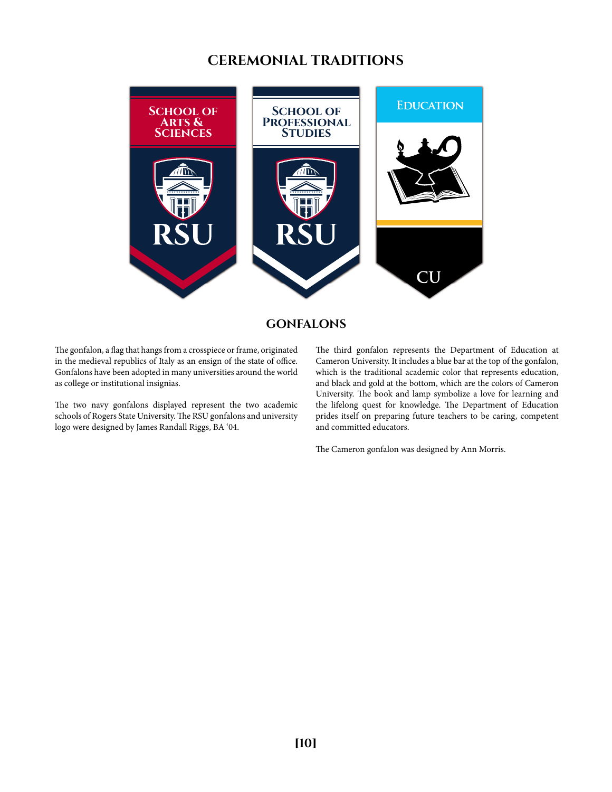### **CEREMONIAL TRADITIONS**



**GONFALONS**

The gonfalon, a flag that hangs from a crosspiece or frame, originated in the medieval republics of Italy as an ensign of the state of office. Gonfalons have been adopted in many universities around the world as college or institutional insignias.

The two navy gonfalons displayed represent the two academic schools of Rogers State University. The RSU gonfalons and university logo were designed by James Randall Riggs, BA '04.

The third gonfalon represents the Department of Education at Cameron University. It includes a blue bar at the top of the gonfalon, which is the traditional academic color that represents education, and black and gold at the bottom, which are the colors of Cameron University. The book and lamp symbolize a love for learning and the lifelong quest for knowledge. The Department of Education prides itself on preparing future teachers to be caring, competent and committed educators.

The Cameron gonfalon was designed by Ann Morris.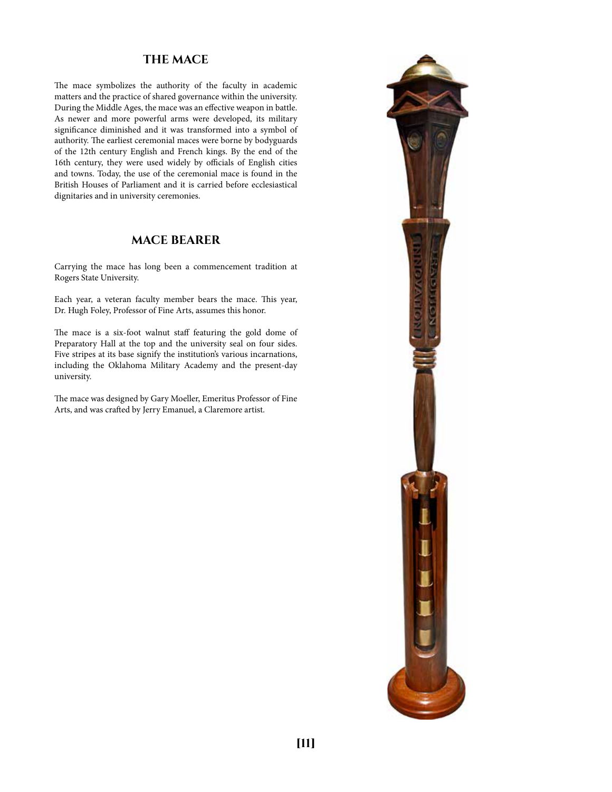#### **THE MACE**

The mace symbolizes the authority of the faculty in academic matters and the practice of shared governance within the university. During the Middle Ages, the mace was an effective weapon in battle. As newer and more powerful arms were developed, its military significance diminished and it was transformed into a symbol of authority. The earliest ceremonial maces were borne by bodyguards of the 12th century English and French kings. By the end of the 16th century, they were used widely by officials of English cities and towns. Today, the use of the ceremonial mace is found in the British Houses of Parliament and it is carried before ecclesiastical dignitaries and in university ceremonies.

#### **MACE BEARER**

Carrying the mace has long been a commencement tradition at Rogers State University.

Each year, a veteran faculty member bears the mace. This year, Dr. Hugh Foley, Professor of Fine Arts, assumes this honor.

The mace is a six-foot walnut staff featuring the gold dome of Preparatory Hall at the top and the university seal on four sides. Five stripes at its base signify the institution's various incarnations, including the Oklahoma Military Academy and the present-day university.

The mace was designed by Gary Moeller, Emeritus Professor of Fine Arts, and was crafted by Jerry Emanuel, a Claremore artist.

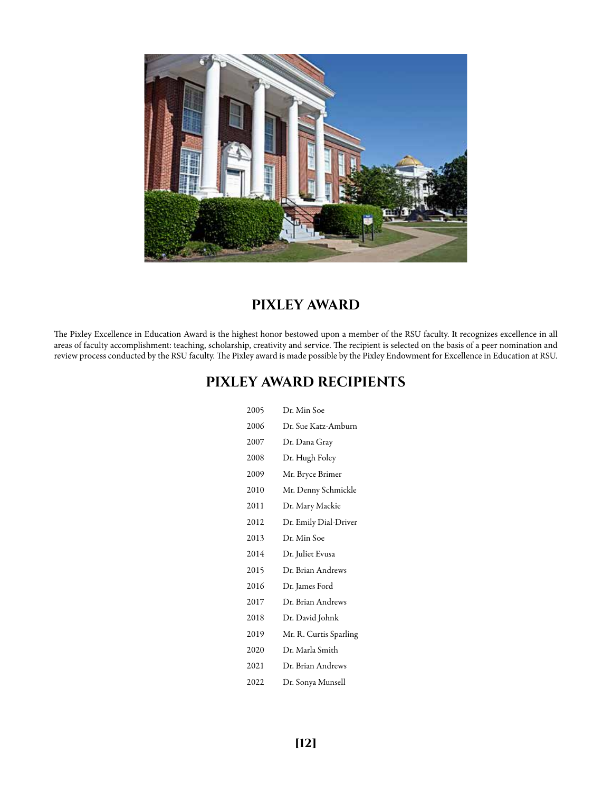

# **PIXLEY AWARD**

The Pixley Excellence in Education Award is the highest honor bestowed upon a member of the RSU faculty. It recognizes excellence in all areas of faculty accomplishment: teaching, scholarship, creativity and service. The recipient is selected on the basis of a peer nomination and review process conducted by the RSU faculty. The Pixley award is made possible by the Pixley Endowment for Excellence in Education at RSU.

# **PIXLEY AWARD RECIPIENTS**

| 2005 | Dr. Min Soe            |
|------|------------------------|
| 2006 | Dr. Sue Katz-Amburn    |
| 2007 | Dr. Dana Gray          |
| 2008 | Dr. Hugh Foley         |
| 2009 | Mr. Bryce Brimer       |
| 2010 | Mr. Denny Schmickle    |
| 2011 | Dr. Mary Mackie        |
| 2012 | Dr. Emily Dial-Driver  |
| 2013 | Dr. Min Soe            |
| 2014 | Dr. Juliet Evusa       |
| 2015 | Dr. Brian Andrews      |
| 2016 | Dr. James Ford         |
| 2017 | Dr. Brian Andrews      |
| 2018 | Dr. David Johnk        |
| 2019 | Mr. R. Curtis Sparling |
| 2020 | Dr. Marla Smith        |
| 2021 | Dr. Brian Andrews      |
| 2022 | Dr. Sonya Munsell      |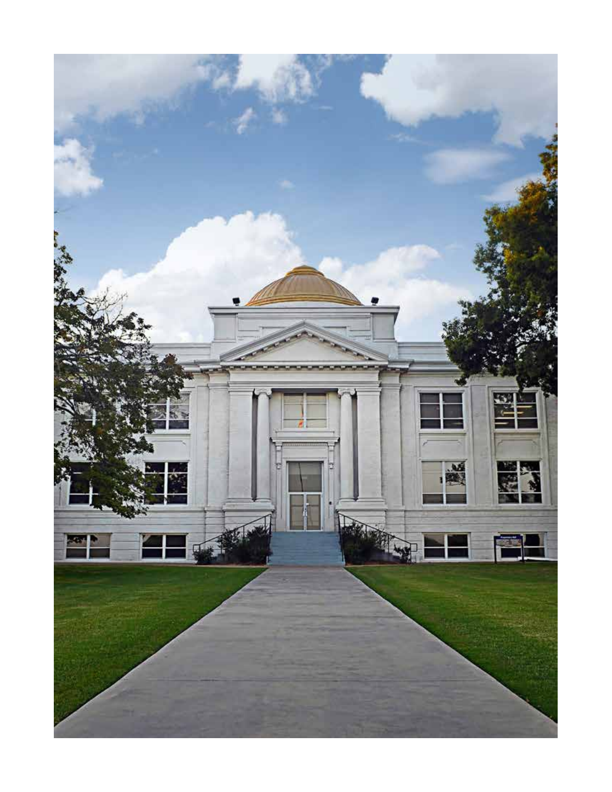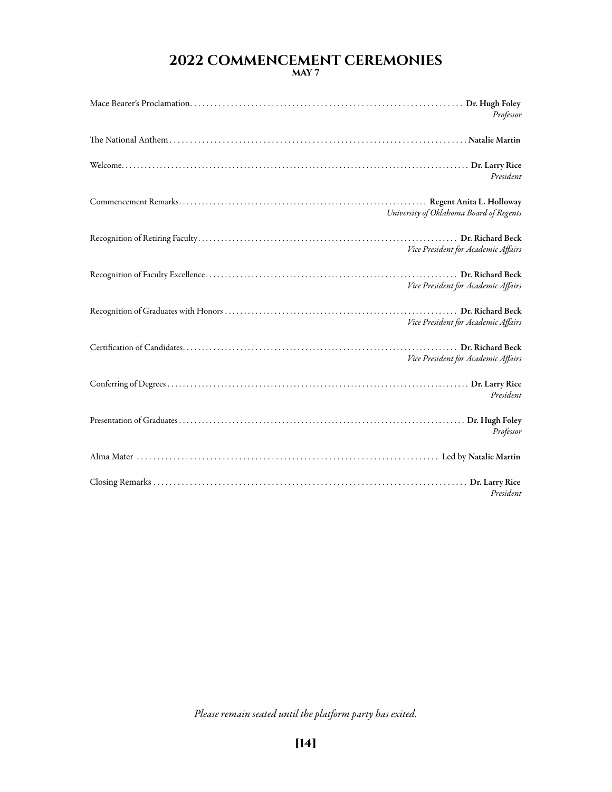# **2022 COMMENCEMENT CEREMONIES**

**MAY 7**

| Professor                               |
|-----------------------------------------|
|                                         |
| President                               |
| University of Oklahoma Board of Regents |
| Vice President for Academic Affairs     |
| Vice President for Academic Affairs     |
| Vice President for Academic Affairs     |
| Vice President for Academic Affairs     |
| President                               |
| Professor                               |
|                                         |
| President                               |

*Please remain seated until the platform party has exited.*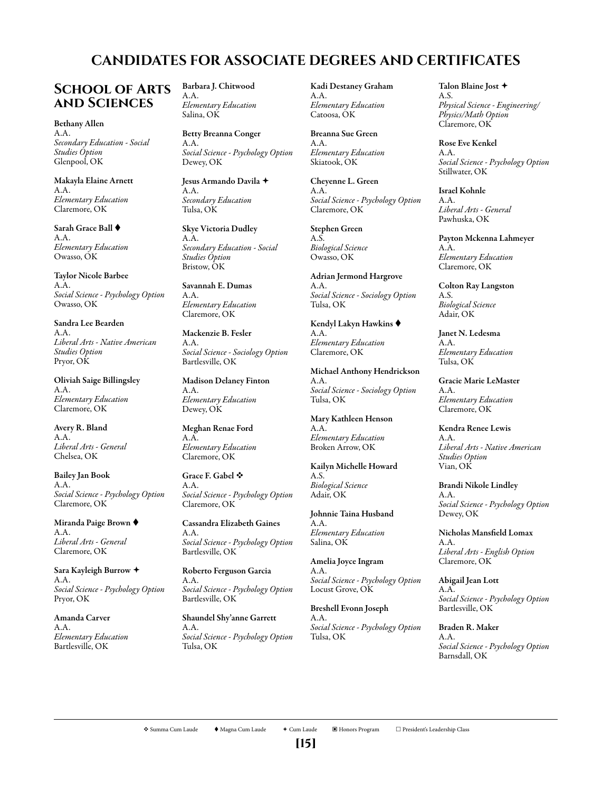## **CANDIDATES FOR ASSOCIATE DEGREES AND CERTIFICATES**

### **School of Arts and Sciences**

Bethany Allen A.A. *Secondary Education - Social Studies Option* Glenpool, OK

Makayla Elaine Arnett A.A. *Elementary Education* Claremore, OK

Sarah Grace Ball A.A. *Elementary Education* Owasso, OK

Taylor Nicole Barbee A.A. *Social Science - Psychology Option* Owasso, OK

Sandra Lee Bearden A.A. *Liberal Arts - Native American Studies Option* Pryor, OK

Oliviah Saige Billingsley A.A. *Elementary Education* Claremore, OK

Avery R. Bland A.A. *Liberal Arts - General* Chelsea, OK

Bailey Jan Book A.A. *Social Science - Psychology Option* Claremore, OK

Miranda Paige Brown  $\blacklozenge$ A.A. *Liberal Arts - General* Claremore, OK

Sara Kayleigh Burrow A.A. *Social Science - Psychology Option* Pryor, OK

Amanda Carver A.A. *Elementary Education* Bartlesville, OK

Barbara J. Chitwood A.A. *Elementary Education* Salina, OK

Betty Breanna Conger A.A. *Social Science - Psychology Option* Dewey, OK

Jesus Armando Davila A.A. *Secondary Education* Tulsa, OK

Skye Victoria Dudley A.A. *Secondary Education - Social Studies Option* Bristow, OK

Savannah E. Dumas A.A. *Elementary Education* Claremore, OK

Mackenzie B. Fesler A.A. *Social Science - Sociology Option* Bartlesville, OK

Madison Delaney Finton A.A. *Elementary Education* Dewey, OK

Meghan Renae Ford A.A. *Elementary Education* Claremore, OK

Grace F. Gabel  $\mathbf{\hat{v}}$ A.A. *Social Science - Psychology Option* Claremore, OK

Cassandra Elizabeth Gaines A.A. *Social Science - Psychology Option* Bartlesville, OK

Roberto Ferguson Garcia A.A. *Social Science - Psychology Option* Bartlesville, OK

Shaundel Shy'anne Garrett A.A. *Social Science - Psychology Option* Tulsa, OK

Kadi Destaney Graham A.A. *Elementary Education* Catoosa, OK

Breanna Sue Green A.A. *Elementary Education* Skiatook, OK

Cheyenne L. Green A.A. *Social Science - Psychology Option* Claremore, OK

Stephen Green A.S. *Biological Science* Owasso, OK

Adrian Jermond Hargrove A.A. *Social Science - Sociology Option* Tulsa, OK

Kendyl Lakyn Hawkins  $\blacklozenge$ A.A. *Elementary Education* Claremore, OK

Michael Anthony Hendrickson A.A. *Social Science - Sociology Option* Tulsa, OK

Mary Kathleen Henson A.A. *Elementary Education* Broken Arrow, OK

Kailyn Michelle Howard A.S. *Biological Science* Adair, OK

Johnnie Taina Husband A.A. *Elementary Education* Salina, OK

Amelia Joyce Ingram A.A. *Social Science - Psychology Option* Locust Grove, OK

Breshell Evonn Joseph A.A. *Social Science - Psychology Option* Tulsa, OK

Talon Blaine Jost A.S. *Physical Science - Engineering/ Physics/Math Option* Claremore, OK

Rose Eve Kenkel A.A. *Social Science - Psychology Option* Stillwater, OK

Israel Kohnle A.A. *Liberal Arts - General* Pawhuska, OK

Payton Mckenna Lahmeyer A.A. *Elementary Education* Claremore, OK

Colton Ray Langston A.S. *Biological Science* Adair, OK

Janet N. Ledesma A.A. *Elementary Education* Tulsa, OK

Gracie Marie LeMaster A.A. *Elementary Education* Claremore, OK

Kendra Renee Lewis A.A. *Liberal Arts - Native American Studies Option* Vian, OK

Brandi Nikole Lindley A.A. *Social Science - Psychology Option* Dewey, OK

Nicholas Mansfield Lomax A.A. *Liberal Arts - English Option* Claremore, OK

Abigail Jean Lott A.A. *Social Science - Psychology Option* Bartlesville, OK

Braden R. Maker A.A. *Social Science - Psychology Option* Barnsdall, OK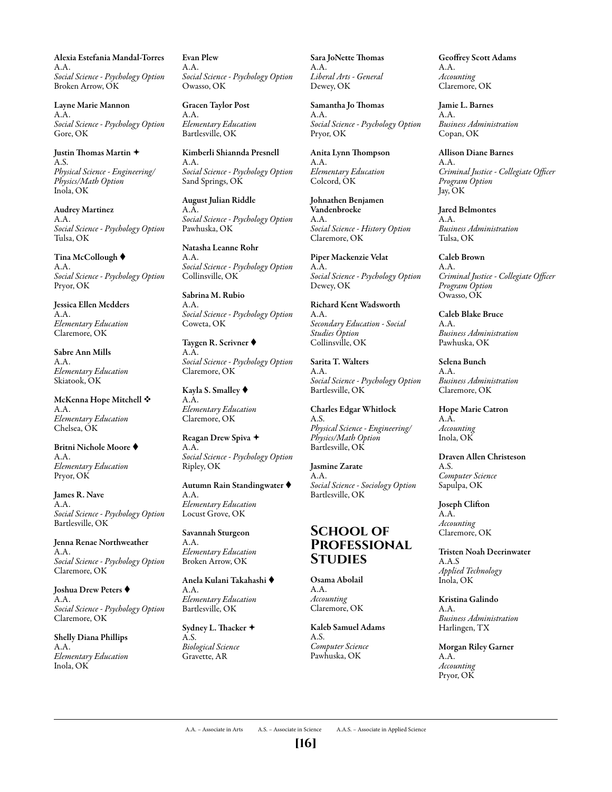Alexia Estefania Mandal-Torres A.A. *Social Science - Psychology Option* Broken Arrow, OK

Layne Marie Mannon A.A. *Social Science - Psychology Option* Gore, OK

Justin Thomas Martin A.S. *Physical Science - Engineering/ Physics/Math Option* Inola, OK

Audrey Martinez A.A. *Social Science - Psychology Option* Tulsa, OK

Tina McCollough ♦ A.A. *Social Science - Psychology Option* Pryor, OK

Jessica Ellen Medders A.A. *Elementary Education* Claremore, OK

Sabre Ann Mills A.A. *Elementary Education* Skiatook, OK

McKenna Hope Mitchell � A.A. *Elementary Education* Chelsea, OK

Britni Nichole Moore  $\blacklozenge$ A.A. *Elementary Education* Pryor, OK

James R. Nave A.A. *Social Science - Psychology Option* Bartlesville, OK

Jenna Renae Northweather A.A. *Social Science - Psychology Option* Claremore, OK

Joshua Drew Peters ♦ A.A. *Social Science - Psychology Option* Claremore, OK

Shelly Diana Phillips A.A. *Elementary Education* Inola, OK

Evan Plew A.A. *Social Science - Psychology Option* Owasso, OK

Gracen Taylor Post A.A. *Elementary Education* Bartlesville, OK

Kimberli Shiannda Presnell A.A. *Social Science - Psychology Option* Sand Springs, OK

August Julian Riddle A.A. *Social Science - Psychology Option* Pawhuska, OK

Natasha Leanne Rohr A.A. *Social Science - Psychology Option* Collinsville, OK

Sabrina M. Rubio A.A. *Social Science - Psychology Option* Coweta, OK

Taygen R. Scrivner ♦ A.A. *Social Science - Psychology Option* Claremore, OK

Kayla S. Smalley ♦ A.A. *Elementary Education* Claremore, OK

Reagan Drew Spiva A.A. *Social Science - Psychology Option* Ripley, OK

Autumn Rain Standingwater ♦ A.A. *Elementary Education* Locust Grove, OK

Savannah Sturgeon A.A. *Elementary Education* Broken Arrow, OK

Anela Kulani Takahashi ♦ A.A. *Elementary Education* Bartlesville, OK

Sydney L. Thacker  $\overline{A}$ .S. *Biological Science* Gravette, AR

Sara JoNette Thomas A.A. *Liberal Arts - General* Dewey, OK

Samantha Jo Thomas A.A. *Social Science - Psychology Option* Pryor, OK

Anita Lynn Thompson A.A. *Elementary Education* Colcord, OK

Johnathen Benjamen Vandenbroeke A.A. *Social Science - History Option* Claremore, OK

Piper Mackenzie Velat A.A. *Social Science - Psychology Option* Dewey, OK

Richard Kent Wadsworth A.A. *Secondary Education - Social Studies Option* Collinsville, OK

Sarita T. Walters A.A. *Social Science - Psychology Option* Bartlesville, OK

Charles Edgar Whitlock A.S. *Physical Science - Engineering/ Physics/Math Option* Bartlesville, OK

Jasmine Zarate A.A. *Social Science - Sociology Option* Bartlesville, OK

### **School of Professional Studies**

Osama Abolail A.A. *Accounting* Claremore, OK

Kaleb Samuel Adams A.S. *Computer Science* Pawhuska, OK

Geoffrey Scott Adams A.A. *Accounting* Claremore, OK

Jamie L. Barnes A.A. *Business Administration* Copan, OK

Allison Diane Barnes A.A. *Criminal Justice - Collegiate Officer Program Option* Jay, OK

Jared Belmontes A.A. *Business Administration* Tulsa, OK

Caleb Brown A.A. *Criminal Justice - Collegiate Officer Program Option* Owasso, OK

Caleb Blake Bruce A.A. *Business Administration* Pawhuska, OK

Selena Bunch A.A. *Business Administration* Claremore, OK

Hope Marie Catron A.A. *Accounting* Inola, OK

Draven Allen Christeson A.S. *Computer Science* Sapulpa, OK

Joseph Clifton A.A. *Accounting* Claremore, OK

Tristen Noah Deerinwater A.A.S *Applied Technology* Inola, OK

Kristina Galindo A.A. *Business Administration* Harlingen, TX

Morgan Riley Garner A.A. *Accounting* Pryor, OK

A.A. – Associate in Arts A.S. – Associate in Science A.A.S. – Associate in Applied Science

**[16]**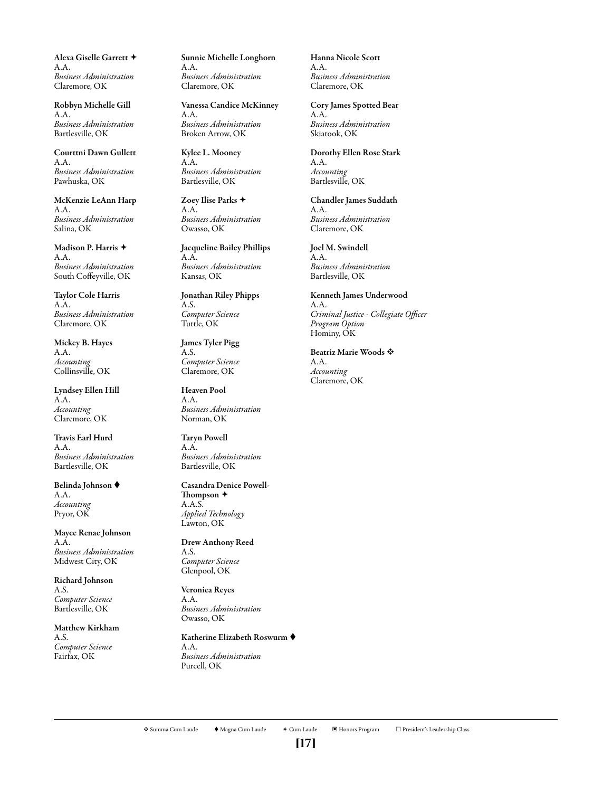Alexa Giselle Garrett A.A. *Business Administration* Claremore, OK

Robbyn Michelle Gill A.A. *Business Administration* Bartlesville, OK

Courttni Dawn Gullett A.A. *Business Administration* Pawhuska, OK

McKenzie LeAnn Harp A.A. *Business Administration* Salina, OK

Madison P. Harris + A.A. *Business Administration* South Coffeyville, OK

Taylor Cole Harris A.A. *Business Administration* Claremore, OK

Mickey B. Hayes A.A. *Accounting* Collinsville, OK

Lyndsey Ellen Hill A.A. *Accounting* Claremore, OK

Travis Earl Hurd A.A. *Business Administration* Bartlesville, OK

Belinda Johnson ♦ A.A. *Accounting* Pryor, OK

Mayce Renae Johnson A.A. *Business Administration* Midwest City, OK

Richard Johnson A.S. *Computer Science* Bartlesville, OK

Matthew Kirkham A.S. *Computer Science* Fairfax, OK

Sunnie Michelle Longhorn A.A. *Business Administration* Claremore, OK

Vanessa Candice McKinney A.A. *Business Administration* Broken Arrow, OK

Kylee L. Mooney A.A. *Business Administration* Bartlesville, OK

Zoey Ilise Parks A.A. *Business Administration* Owasso, OK

Jacqueline Bailey Phillips A.A. *Business Administration* Kansas, OK

Jonathan Riley Phipps A.S. *Computer Science* Tuttle, OK

James Tyler Pigg A.S. *Computer Science* Claremore, OK

Heaven Pool A.A. *Business Administration* Norman, OK

Taryn Powell A.A. *Business Administration* Bartlesville, OK

Casandra Denice Powell-Thompson + A.A.S. *Applied Technology* Lawton, OK

Drew Anthony Reed A.S. *Computer Science* Glenpool, OK

Veronica Reyes A.A. *Business Administration* Owasso, OK

Katherine Elizabeth Roswurm  $\blacklozenge$ A.A. *Business Administration* Purcell, OK

Hanna Nicole Scott A.A. *Business Administration* Claremore, OK

Cory James Spotted Bear A.A. *Business Administration* Skiatook, OK

Dorothy Ellen Rose Stark A.A. *Accounting* Bartlesville, OK

Chandler James Suddath A.A. *Business Administration* Claremore, OK

Joel M. Swindell A.A. *Business Administration* Bartlesville, OK

Kenneth James Underwood A.A. *Criminal Justice - Collegiate Officer Program Option* Hominy, OK

Beatriz Marie Woods ❖ A.A. *Accounting* Claremore, OK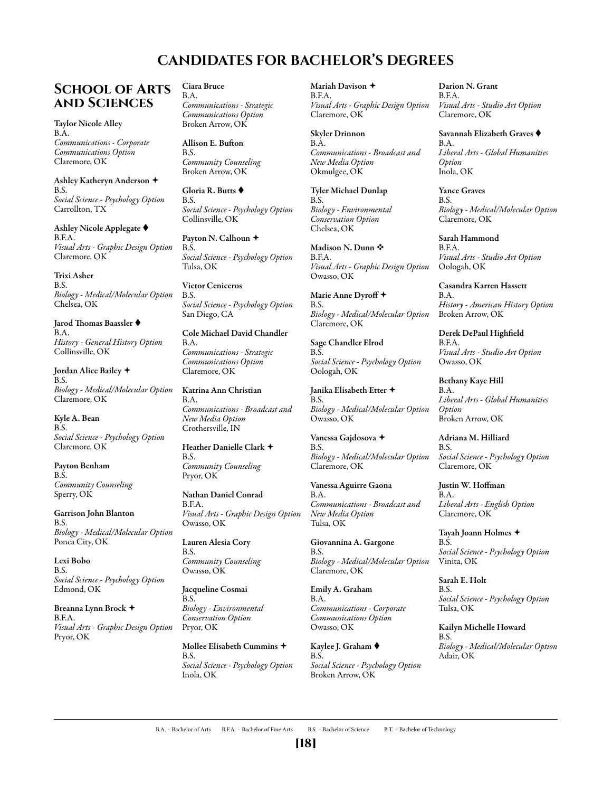# **CANDIDATES FOR BACHELOR'S DEGREES**

### **School of Arts and Sciences**

Taylor Nicole Alley B.A. *Communications - Corporate Communications Option* Claremore, OK

Ashley Katheryn Anderson B.S. *Social Science - Psychology Option* Carrollton, TX

Ashley Nicole Applegate ♦ B.F.A. *Visual Arts - Graphic Design Option* Claremore, OK

Trixi Asher B.S. *Biology - Medical/Molecular Option* Chelsea, OK

Jarod Thomas Baassler ♦ B.A. *History - General History Option* Collinsville, OK

Jordan Alice Bailey B.S. *Biology - Medical/Molecular Option* Claremore, OK

Kyle A. Bean B.S. *Social Science - Psychology Option* Claremore, OK

Payton Benham B.S. *Community Counseling* Sperry, OK

Garrison John Blanton B.S. *Biology - Medical/Molecular Option* Ponca City, OK

Lexi Bobo B.S. *Social Science - Psychology Option* Edmond, OK

Breanna Lynn Brock B.F.A. *Visual Arts - Graphic Design Option* Pryor, OK

Ciara Bruce B.A.

*Communications - Strategic Communications Option* Broken Arrow, OK

Allison E. Bufton B.S. *Community Counseling* Broken Arrow, OK

Gloria R. Butts t B.S. *Social Science - Psychology Option* Collinsville, OK

Payton N. Calhoun + B.S. *Social Science - Psychology Option* Tulsa, OK

Victor Ceniceros B.S. *Social Science - Psychology Option* San Diego, CA

Cole Michael David Chandler B.A. *Communications - Strategic Communications Option* Claremore, OK

Katrina Ann Christian B.A. *Communications - Broadcast and New Media Option* Crothersville, IN

Heather Danielle Clark B.S. *Community Counseling* Prvor, OK

Nathan Daniel Conrad B.F.A. *Visual Arts - Graphic Design Option* Owasso, OK

Lauren Alesia Cory B.S. *Community Counseling* Owasso, OK

Jacqueline Cosmai B.S. *Biology - Environmental Conservation Option* Pryor, OK

Mollee Elisabeth Cummins + B.S. *Social Science - Psychology Option* Inola, OK

Mariah Davison B.F.A. *Visual Arts - Graphic Design Option* Claremore, OK

Skyler Drinnon B.A. *Communications - Broadcast and New Media Option* Okmulgee, OK

Tyler Michael Dunlap B.S. *Biology - Environmental Conservation Option* Chelsea, OK

Madison N. Dunn ❖ B.F.A. *Visual Arts - Graphic Design Option* Owasso, OK

Marie Anne Dyroff + B.S. *Biology - Medical/Molecular Option* Claremore, OK

Sage Chandler Elrod B.S. *Social Science - Psychology Option* Oologah, OK

Janika Elisabeth Etter B.S. *Biology - Medical/Molecular Option* Owasso, OK

Vanessa Gajdosova B.S. *Biology - Medical/Molecular Option* Claremore, OK

Vanessa Aguirre Gaona B.A. *Communications - Broadcast and New Media Option* Tulsa, OK

Giovannina A. Gargone B.S. *Biology - Medical/Molecular Option* Claremore, OK

Emily A. Graham B.A. *Communications - Corporate Communications Option* Owasso, OK

Kaylee J. Graham ♦ B.S. *Social Science - Psychology Option* Broken Arrow, OK

Darion N. Grant B.F.A. *Visual Arts - Studio Art Option* Claremore, OK

Savannah Elizabeth Graves  $\blacklozenge$ B.A. *Liberal Arts - Global Humanities Option* Inola, OK

Yance Graves B.S. *Biology - Medical/Molecular Option* Claremore, OK

Sarah Hammond B.F.A. *Visual Arts - Studio Art Option* Oologah, OK

Casandra Karren Hassett B.A. *History - American History Option* Broken Arrow, OK

Derek DePaul Highfield B.F.A. *Visual Arts - Studio Art Option* Owasso, OK

Bethany Kaye Hill B.A. *Liberal Arts - Global Humanities Option* Broken Arrow, OK

Adriana M. Hilliard B.S. *Social Science - Psychology Option* Claremore, OK

Justin W. Hoffman B.A. *Liberal Arts - English Option* Claremore, OK

Tayah Joann Holmes B.S. *Social Science - Psychology Option* Vinita, OK

Sarah E. Holt B.S. *Social Science - Psychology Option* Tulsa, OK

Kailyn Michelle Howard B.S. *Biology - Medical/Molecular Option* Adair, OK

B.A. – Bachelor of Arts B.F.A. – Bachelor of Fine Arts B.S. – Bachelor of Science B.T. – Bachelor of Technology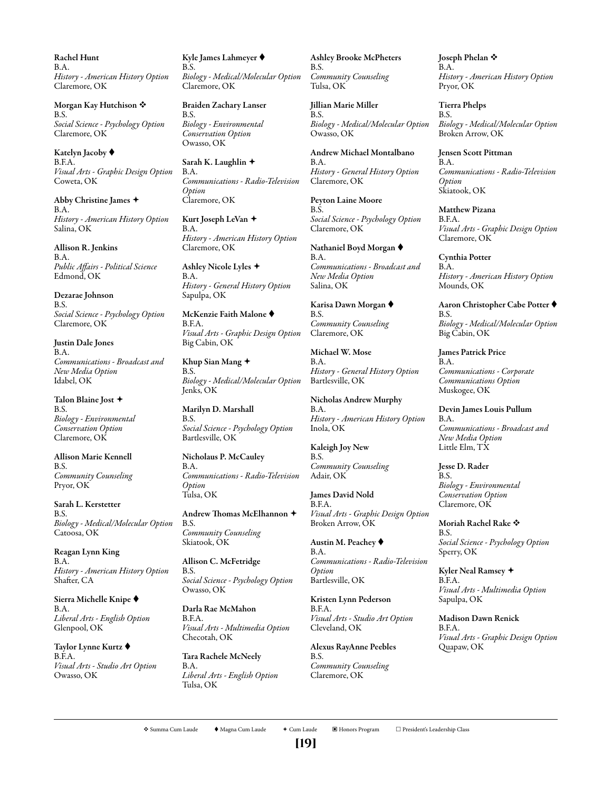Rachel Hunt B.A. *History - American History Option* Claremore, OK

Morgan Kay Hutchison � B.S. *Social Science - Psychology Option* Claremore, OK

Katelyn Jacoby ♦ B.F.A. *Visual Arts - Graphic Design Option* Coweta, OK

Abby Christine James B.A. *History - American History Option* Salina, OK

Allison R. Jenkins B.A. *Public Affairs - Political Science* Edmond, OK

Dezarae Johnson B.S. *Social Science - Psychology Option* Claremore, OK

Justin Dale Jones B.A. *Communications - Broadcast and New Media Option* Idabel, OK

Talon Blaine Jost B.S. *Biology - Environmental Conservation Option* Claremore, OK

Allison Marie Kennell B.S. *Community Counseling* Pryor, OK

Sarah L. Kerstetter B.S. *Biology - Medical/Molecular Option* Catoosa, OK

Reagan Lynn King B.A. *History - American History Option* Shafter, CA

Sierra Michelle Knipe  $\blacklozenge$ B.A. *Liberal Arts - English Option* Glenpool, OK

Taylor Lynne Kurtz ♦ B.F.A. *Visual Arts - Studio Art Option* Owasso, OK

Kyle James Lahmeyer  $\blacklozenge$ B.S. *Biology - Medical/Molecular Option* Claremore, OK

Braiden Zachary Lanser B.S. *Biology - Environmental Conservation Option* Owasso, OK

Sarah K. Laughlin B.A. *Communications - Radio-Television Option* Claremore, OK

Kurt Joseph LeVan B.A. *History - American History Option* Claremore, OK

Ashley Nicole Lyles B.A. *History - General History Option* Sapulpa, OK

McKenzie Faith Malone ♦ B.F.A. *Visual Arts - Graphic Design Option* Big Cabin, OK

Khup Sian Mang B.S. *Biology - Medical/Molecular Option* Jenks, OK

Marilyn D. Marshall B.S. *Social Science - Psychology Option* Bartlesville, OK

Nicholaus P. McCauley B.A. *Communications - Radio-Television Option* Tulsa, OK

Andrew Thomas McElhannon B.S. *Community Counseling* Skiatook, OK

Allison C. McFetridge B.S. *Social Science - Psychology Option* Owasso, OK

Darla Rae McMahon B.F.A. *Visual Arts - Multimedia Option* Checotah, OK

Tara Rachele McNeely B.A. *Liberal Arts - English Option* Tulsa, OK

Ashley Brooke McPheters B.S. *Community Counseling* Tulsa, OK

Jillian Marie Miller B.S. *Biology - Medical/Molecular Option* Owasso, OK

Andrew Michael Montalbano B.A. *History - General History Option* Claremore, OK

Peyton Laine Moore B.S. *Social Science - Psychology Option* Claremore, OK

Nathaniel Boyd Morgan ♦ B.A. *Communications - Broadcast and New Media Option* Salina, OK

Karisa Dawn Morgan ♦ B.S. *Community Counseling* Claremore, OK

Michael W. Mose B.A. *History - General History Option* Bartlesville, OK

Nicholas Andrew Murphy B.A. *History - American History Option* Inola, OK

Kaleigh Joy New B.S. *Community Counseling* Adair, OK

James David Nold B.F.A. *Visual Arts - Graphic Design Option* Broken Arrow, OK

Austin M. Peachey  $\blacklozenge$ B.A. *Communications - Radio-Television Option* Bartlesville, OK

Kristen Lynn Pederson B.F.A. *Visual Arts - Studio Art Option* Cleveland, OK

Alexus RayAnne Peebles B.S. *Community Counseling* Claremore, OK

Joseph Phelan ❖  $BA<sub>1</sub>$ *History - American History Option* Pryor, OK

Tierra Phelps B.S. *Biology - Medical/Molecular Option* Broken Arrow, OK

Jensen Scott Pittman B.A. *Communications - Radio-Television Option* Skiatook, OK

Matthew Pizana B.F.A. *Visual Arts - Graphic Design Option* Claremore, OK

Cynthia Potter B.A. *History - American History Option* Mounds, OK

Aaron Christopher Cabe Potter  $\blacklozenge$ B.S. *Biology - Medical/Molecular Option* Big Cabin, OK

James Patrick Price B.A. *Communications - Corporate Communications Option* Muskogee, OK

Devin James Louis Pullum B.A. *Communications - Broadcast and New Media Option* Little Elm, TX

Jesse D. Rader B.S. *Biology - Environmental Conservation Option* Claremore, OK

Moriah Rachel Rake \* B.S. *Social Science - Psychology Option* Sperry, OK

Kyler Neal Ramsey B.F.A. *Visual Arts - Multimedia Option* Sapulpa, OK

Madison Dawn Renick B.F.A. *Visual Arts - Graphic Design Option* Quapaw, OK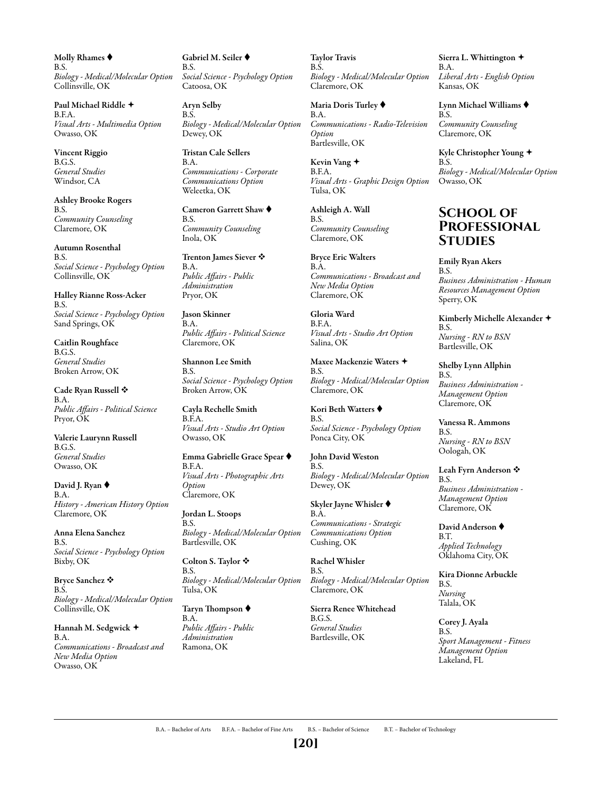Molly Rhames  $\blacklozenge$ B.S. *Biology - Medical/Molecular Option* Collinsville, OK

Paul Michael Riddle B.F.A. *Visual Arts - Multimedia Option* Owasso, OK

Vincent Riggio B.G.S. *General Studies* Windsor, CA

Ashley Brooke Rogers B.S. *Community Counseling* Claremore, OK

Autumn Rosenthal B.S. *Social Science - Psychology Option* Collinsville, OK

Halley Rianne Ross-Acker B.S. *Social Science - Psychology Option* Sand Springs, OK

Caitlin Roughface B.G.S. *General Studies* Broken Arrow, OK

#### Cade Ryan Russell �� B.A. *Public Affairs - Political Science* Pryor, OK

Valerie Laurynn Russell B.G.S. *General Studies* Owasso, OK

#### David J. Ryan ♦ B.A. *History - American History Option* Claremore, OK

Anna Elena Sanchez B.S. *Social Science - Psychology Option* Bixby, OK

Bryce Sanchez ❖ B.S. *Biology - Medical/Molecular Option* Collinsville, OK

Hannah M. Sedgwick B.A. *Communications - Broadcast and New Media Option* Owasso, OK

Gabriel M. Seiler t B.S. *Social Science - Psychology Option* Catoosa, OK

Aryn Selby B.S. *Biology - Medical/Molecular Option* Dewey, OK

Tristan Cale Sellers B.A. *Communications - Corporate Communications Option* Weleetka, OK

Cameron Garrett Shaw B.S. *Community Counseling* Inola, OK

Trenton James Siever ❖ B.A. *Public Affairs - Public Administration* Pryor, OK

Jason Skinner B.A. *Public Affairs - Political Science* Claremore, OK

Shannon Lee Smith B.S. *Social Science - Psychology Option* Broken Arrow, OK

Cayla Rechelle Smith B.F.A. *Visual Arts - Studio Art Option* Owasso, OK

Emma Gabrielle Grace Spear  $\blacklozenge$ B.F.A. *Visual Arts - Photographic Arts Option* Claremore, OK

Jordan L. Stoops B.S. *Biology - Medical/Molecular Option* Bartlesville, OK

Colton S. Taylor ❖ B.S. *Biology - Medical/Molecular Option* Tulsa, OK

Taryn Thompson  $\blacklozenge$ B.A. *Public Affairs - Public Administration* Ramona, OK

Taylor Travis B.S. *Biology - Medical/Molecular Option* Claremore, OK

Maria Doris Turley B.A. *Communications - Radio-Television Option* Bartlesville, OK

Kevin Vang B.F.A. *Visual Arts - Graphic Design Option* Tulsa, OK

Ashleigh A. Wall B.S. *Community Counseling* Claremore, OK

Bryce Eric Walters B.A. *Communications - Broadcast and New Media Option* Claremore, OK

Gloria Ward B.F.A. *Visual Arts - Studio Art Option* Salina, OK

Maxee Mackenzie Waters + B.S. *Biology - Medical/Molecular Option* Claremore, OK

Kori Beth Watters  $\blacklozenge$ B.S. *Social Science - Psychology Option* Ponca City, OK

John David Weston B.S. *Biology - Medical/Molecular Option* Dewey, OK

Skyler Jayne Whisler  $\blacklozenge$ B.A. *Communications - Strategic Communications Option* Cushing, OK

Rachel Whisler B.S. *Biology - Medical/Molecular Option* Claremore, OK

Sierra Renee Whitehead B.G.S. *General Studies* Bartlesville, OK

Sierra L. Whittington B.A. *Liberal Arts - English Option* Kansas, OK

Lynn Michael Williams  $\blacklozenge$ B.S. *Community Counseling* Claremore, OK

Kyle Christopher Young B.S. *Biology - Medical/Molecular Option* Owasso, OK

### **School of Professional Studies**

Emily Ryan Akers B.S. *Business Administration - Human Resources Management Option*

Kimberly Michelle Alexander B.S. *Nursing - RN to BSN*

Bartlesville, OK Shelby Lynn Allphin B.S.

Sperry, OK

*Business Administration - Management Option* Claremore, OK

Vanessa R. Ammons B.S. *Nursing - RN to BSN* Oologah, OK

Leah Fyrn Anderson � B.S. *Business Administration - Management Option* Claremore, OK

David Anderson  $\blacklozenge$ B.T. *Applied Technology* Oklahoma City, OK

Kira Dionne Arbuckle B.S. *Nursing* Talala, OK

Corey J. Ayala B.S. *Sport Management - Fitness Management Option* Lakeland, FL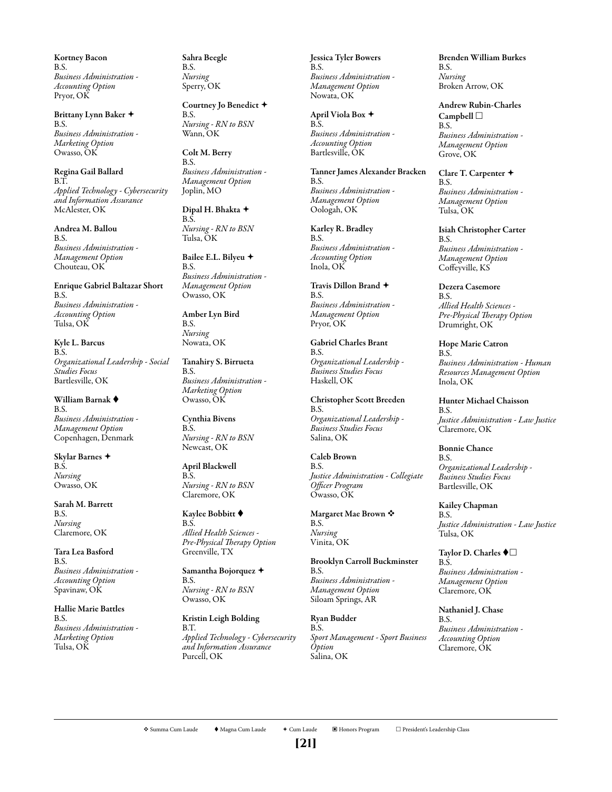Kortney Bacon B.S. *Business Administration - Accounting Option* Pryor, OK

Brittany Lynn Baker B.S. *Business Administration - Marketing Option* Owasso, OK

Regina Gail Ballard B.T. *Applied Technology - Cybersecurity and Information Assurance* McAlester, OK

Andrea M. Ballou B.S. *Business Administration - Management Option* Chouteau, OK

Enrique Gabriel Baltazar Short B.S. *Business Administration - Accounting Option* Tulsa, OK

Kyle L. Barcus B.S. *Organizational Leadership - Social Studies Focus* Bartlesville, OK

William Barnak  $\blacklozenge$ B.S. *Business Administration - Management Option* Copenhagen, Denmark

Skylar Barnes B.S. *Nursing* Owasso, OK

Sarah M. Barrett B.S. *Nursing* Claremore, OK

Tara Lea Basford B.S. *Business Administration - Accounting Option* Spavinaw, OK

Hallie Marie Battles B.S. *Business Administration - Marketing Option* Tulsa, OK

Sahra Beegle B.S. *Nursing* Sperry, OK

Courtney Jo Benedict B.S. *Nursing - RN to BSN* Wann, OK

Colt M. Berry B.S. *Business Administration - Management Option* Joplin, MO

Dipal H. Bhakta  $B.\overline{S}$ . *Nursing - RN to BSN* Tulsa, OK

Bailee E.L. Bilyeu B.S. *Business Administration - Management Option* Owasso, OK

Amber Lyn Bird B.S. *Nursing* Nowata, OK

Tanahiry S. Birrueta B.S. *Business Administration - Marketing Option* Owasso, OK

Cynthia Bivens B.S. *Nursing - RN to BSN* Newcast, OK

April Blackwell B.S. *Nursing - RN to BSN* Claremore, OK

Kaylee Bobbitt  $\blacklozenge$ B.S. *Allied Health Sciences - Pre-Physical Therapy Option* Greenville, TX

Samantha Bojorquez B.S. *Nursing - RN to BSN* Owasso, OK

Kristin Leigh Bolding B.T. *Applied Technology - Cybersecurity and Information Assurance* Purcell, OK

Jessica Tyler Bowers B.S. *Business Administration - Management Option* Nowata, OK

April Viola Box B.S. *Business Administration - Accounting Option* Bartlesville, OK

Tanner James Alexander Bracken B.S. *Business Administration - Management Option* Oologah, OK

Karley R. Bradley B.S. *Business Administration - Accounting Option* Inola, OK

Travis Dillon Brand B.S. *Business Administration - Management Option* Pryor, OK

Gabriel Charles Brant B.S. *Organizational Leadership - Business Studies Focus* Haskell, OK

Christopher Scott Breeden B.S. *Organizational Leadership - Business Studies Focus* Salina, OK

Caleb Brown B.S. *Justice Administration - Collegiate Officer Program* Owasso, OK

Margaret Mae Brown ❖ B.S. *Nursing* Vinita, OK

Brooklyn Carroll Buckminster B.S. *Business Administration - Management Option* Siloam Springs, AR

Ryan Budder B.S. *Sport Management - Sport Business Option* Salina, OK

Brenden William Burkes B.S. *Nursing* Broken Arrow, OK

Andrew Rubin-Charles Campbell  $\square$ B.S. *Business Administration - Management Option* Grove, OK

Clare T. Carpenter B.S. *Business Administration - Management Option* Tulsa, OK

Isiah Christopher Carter B.S. *Business Administration - Management Option* Coffeyville, KS

Dezera Casemore B.S. *Allied Health Sciences - Pre-Physical Therapy Option* Drumright, OK

Hope Marie Catron B.S. *Business Administration - Human Resources Management Option* Inola, OK

Hunter Michael Chaisson B.S. *Justice Administration - Law Justice* Claremore, OK

Bonnie Chance B.S. *Organizational Leadership - Business Studies Focus* Bartlesville, OK

Kailey Chapman B.S. *Justice Administration - Law Justice* Tulsa, OK

Taylor D. Charles  $\blacklozenge\Box$ B.S. *Business Administration - Management Option* Claremore, OK

Nathaniel J. Chase B.S. *Business Administration - Accounting Option* Claremore, OK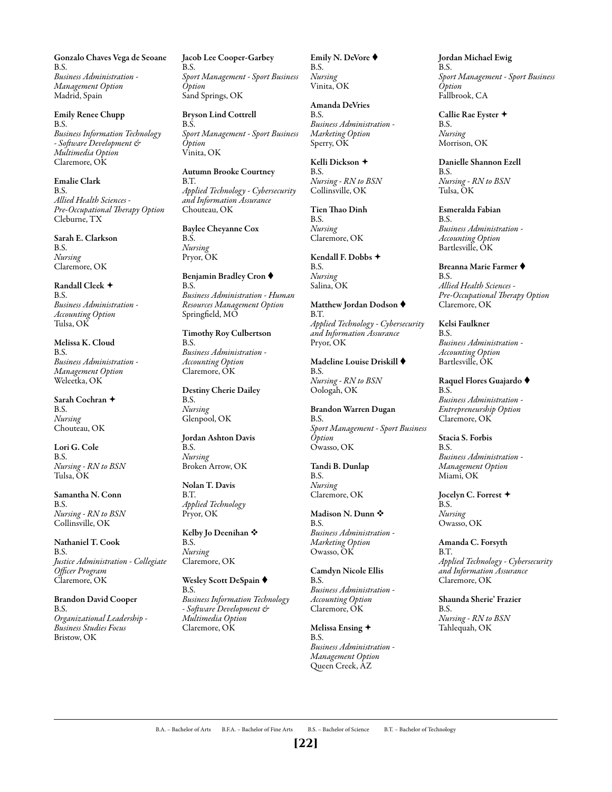Gonzalo Chaves Vega de Seoane B.S. *Business Administration - Management Option* Madrid, Spain

Emily Renee Chupp B.S. *Business Information Technology - Software Development & Multimedia Option* Claremore, OK

Emalie Clark B.S. *Allied Health Sciences - Pre-Occupational Therapy Option* Cleburne, TX

Sarah E. Clarkson B.S. *Nursing* Claremore, OK

Randall Cleek B.S. *Business Administration - Accounting Option* Tulsa, OK

Melissa K. Cloud B.S. *Business Administration - Management Option* Weleetka, OK

Sarah Cochran B.S. *Nursing* Chouteau, OK

Lori G. Cole B.S. *Nursing - RN to BSN* Tulsa, OK

Samantha N. Conn B.S. *Nursing - RN to BSN* Collinsville, OK

Nathaniel T. Cook B.S. *Justice Administration - Collegiate Officer Program* Claremore, OK

Brandon David Cooper B.S. *Organizational Leadership - Business Studies Focus* Bristow, OK

Jacob Lee Cooper-Garbey B.S. *Sport Management - Sport Business Option* Sand Springs, OK

Bryson Lind Cottrell B.S. *Sport Management - Sport Business Option* Vinita, OK

Autumn Brooke Courtney B.T. *Applied Technology - Cybersecurity and Information Assurance* Chouteau, OK

Baylee Cheyanne Cox  $B.\dot{S}$ . *Nursing* Pryor, OK

Benjamin Bradley Cron ♦ B.S. *Business Administration - Human Resources Management Option* Springfield, MO

Timothy Roy Culbertson B.S. *Business Administration - Accounting Option* Claremore, OK

Destiny Cherie Dailey B.S. *Nursing* Glenpool, OK

Jordan Ashton Davis B.S. *Nursing* Broken Arrow, OK

Nolan T. Davis B.T. *Applied Technology* Pryor, OK

Kelby Jo Deenihan ❖ B.S. *Nursing* Claremore, OK

Wesley Scott DeSpain  $\blacklozenge$ B.S. *Business Information Technology - Software Development & Multimedia Option* Claremore, OK

Emily N. DeVore ♦ B.S. *Nursing* Vinita, OK

Amanda DeVries B.S. *Business Administration - Marketing Option* Sperry, OK

Kelli Dickson + B.S. *Nursing - RN to BSN* Collinsville, OK

Tien Thao Dinh B.S. *Nursing* Claremore, OK

Kendall F. Dobbs B.S. *Nursing* Salina, OK

Matthew Jordan Dodson B.T. *Applied Technology - Cybersecurity and Information Assurance* Pryor, OK

Madeline Louise Driskill  $\blacklozenge$ B.S. *Nursing - RN to BSN* Oologah, OK

Brandon Warren Dugan B.S. *Sport Management - Sport Business Option* Owasso, OK

Tandi B. Dunlap B.S. *Nursing* Claremore, OK

Madison N. Dunn ❖ B.S. *Business Administration - Marketing Option* Owasso, OK

Camdyn Nicole Ellis B.S. *Business Administration - Accounting Option* Claremore, OK

Melissa Ensing B.S. *Business Administration - Management Option* Queen Creek, AZ

Jordan Michael Ewig B.S. *Sport Management - Sport Business Option* Fallbrook, CA

Callie Rae Eyster B.S. *Nursing* Morrison, OK

Danielle Shannon Ezell B.S. *Nursing - RN to BSN* Tulsa, OK

Esmeralda Fabian B.S. *Business Administration - Accounting Option* Bartlesville, OK

Breanna Marie Farmer  $\blacklozenge$ B.S. *Allied Health Sciences - Pre-Occupational Therapy Option* Claremore, OK

Kelsi Faulkner B.S. *Business Administration - Accounting Option* Bartlesville, OK

Raquel Flores Guajardo  $\blacklozenge$ B.S. *Business Administration -* 

*Entrepreneurship Option* Claremore, OK

Stacia S. Forbis B.S. *Business Administration - Management Option* Miami, OK

Jocelyn C. Forrest + B.S. *Nursing* Owasso, OK

Amanda C. Forsyth B.T. *Applied Technology - Cybersecurity and Information Assurance* Claremore, OK

Shaunda Sherie' Frazier B.S. *Nursing - RN to BSN* Tahlequah, OK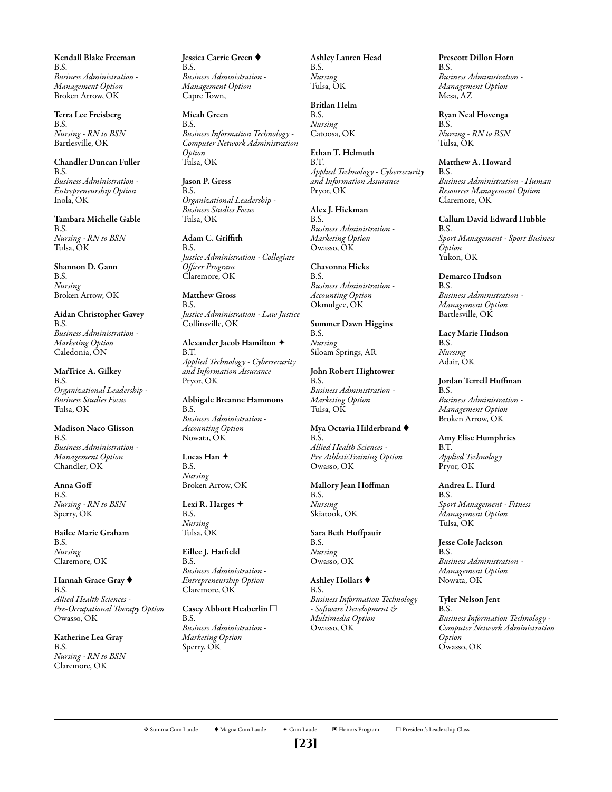Kendall Blake Freeman B.S. *Business Administration - Management Option* Broken Arrow, OK

Terra Lee Freisberg B.S. *Nursing - RN to BSN* Bartlesville, OK

Chandler Duncan Fuller B.S. *Business Administration - Entrepreneurship Option* Inola, OK

Tambara Michelle Gable B.S. *Nursing - RN to BSN* Tulsa, OK

Shannon D. Gann B.S. *Nursing* Broken Arrow, OK

Aidan Christopher Gavey B.S. *Business Administration - Marketing Option* Caledonia, ON

MarTrice A. Gilkey B.S. *Organizational Leadership - Business Studies Focus* Tulsa, OK

Madison Naco Glisson B.S. *Business Administration - Management Option* Chandler, OK

Anna Goff B.S. *Nursing - RN to BSN* Sperry, OK

Bailee Marie Graham B.S. *Nursing* Claremore, OK

Hannah Grace Gray ♦ B.S. *Allied Health Sciences - Pre-Occupational Therapy Option* Owasso, OK

Katherine Lea Gray B.S. *Nursing - RN to BSN* Claremore, OK

Jessica Carrie Green  $\blacklozenge$ B.S. *Business Administration - Management Option* Capre Town,

Micah Green B.S. *Business Information Technology - Computer Network Administration Option* Tulsa, OK

Jason P. Gress B.S. *Organizational Leadership - Business Studies Focus* Tulsa, OK

Adam C. Griffith B.S. *Justice Administration - Collegiate Officer Program* Claremore, OK

Matthew Gross B.S. *Justice Administration - Law Justice* Collinsville, OK

Alexander Jacob Hamilton B.T. *Applied Technology - Cybersecurity and Information Assurance* Pryor, OK

Abbigale Breanne Hammons B.S. *Business Administration - Accounting Option* Nowata, OK

Lucas Han B.S. *Nursing* Broken Arrow, OK

Lexi R. Harges  $\pm$ B.S. *Nursing* Tulsa, OK

Eillee J. Hatfield B.S. *Business Administration - Entrepreneurship Option* Claremore, OK

Casey Abbott Heaberlin  $\Box$ B.S. *Business Administration - Marketing Option* Sperry, OK

Ashley Lauren Head B.S. *Nursing* Tulsa, OK

Britlan Helm B.S. *Nursing* Catoosa, OK

Ethan T. Helmuth B.T. *Applied Technology - Cybersecurity and Information Assurance* Pryor, OK

Alex J. Hickman B.S. *Business Administration - Marketing Option* Owasso, OK

Chavonna Hicks B.S. *Business Administration - Accounting Option* Okmulgee, OK

Summer Dawn Higgins B.S. *Nursing* Siloam Springs, AR

John Robert Hightower B.S. *Business Administration - Marketing Option* Tulsa, OK

Mya Octavia Hilderbrand  $\blacklozenge$ B.S. *Allied Health Sciences - Pre AthleticTraining Option* Owasso, OK

Mallory Jean Hoffman B.S. *Nursing* Skiatook, OK

Sara Beth Hoffpauir B.S. *Nursing* Owasso, OK

Ashley Hollars  $\blacklozenge$ B.S. *Business Information Technology - Software Development & Multimedia Option* Owasso, OK

Prescott Dillon Horn B.S. *Business Administration - Management Option* Mesa, AZ

Ryan Neal Hovenga B.S. *Nursing - RN to BSN* Tulsa, OK

Matthew A. Howard B.S. *Business Administration - Human Resources Management Option* Claremore, OK

Callum David Edward Hubble B.S. *Sport Management - Sport Business Option* Yukon, OK

Demarco Hudson B.S. *Business Administration - Management Option* Bartlesville, OK

Lacy Marie Hudson B.S. *Nursing* Adair, OK

Jordan Terrell Huffman B.S. *Business Administration - Management Option* Broken Arrow, OK

Amy Elise Humphries B.T. *Applied Technology* Pryor, OK

Andrea L. Hurd B.S. *Sport Management - Fitness Management Option* Tulsa, OK

Jesse Cole Jackson B.S. *Business Administration - Management Option* Nowata, OK

Tyler Nelson Jent B.S. *Business Information Technology - Computer Network Administration Option* Owasso, OK

**[23]**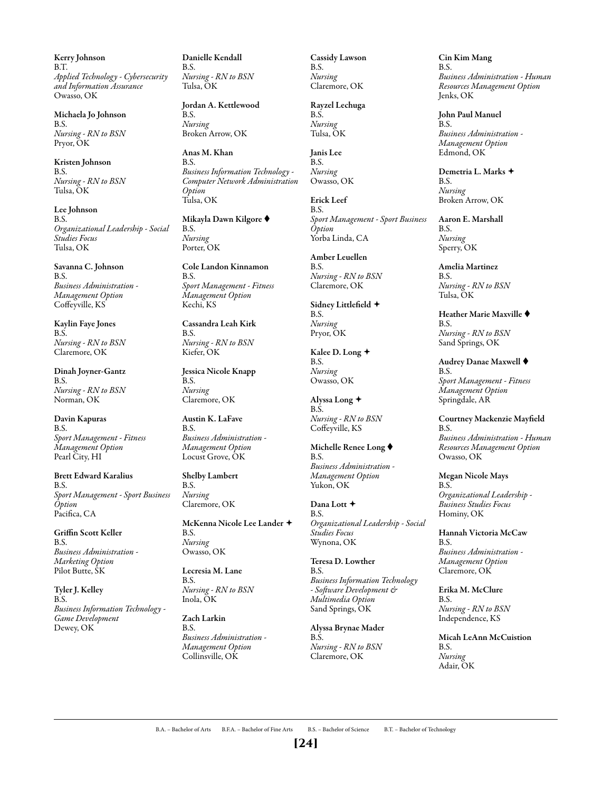Kerry Johnson B.T. *Applied Technology - Cybersecurity and Information Assurance* Owasso, OK

Michaela Jo Johnson B.S. *Nursing - RN to BSN* Pryor, OK

Kristen Johnson B.S. *Nursing - RN to BSN* Tulsa, OK

Lee Johnson B.S. *Organizational Leadership - Social Studies Focus* Tulsa, OK

Savanna C. Johnson B.S. *Business Administration - Management Option* Coffeyville, KS

Kaylin Faye Jones B.S. *Nursing - RN to BSN* Claremore, OK

Dinah Joyner-Gantz B.S. *Nursing - RN to BSN* Norman, OK

Davin Kapuras B.S. *Sport Management - Fitness Management Option* Pearl City, HI

Brett Edward Karalius B.S. *Sport Management - Sport Business Option* Pacifica, CA

Griffin Scott Keller B.S. *Business Administration - Marketing Option* Pilot Butte, SK

Tyler J. Kelley B.S. *Business Information Technology - Game Development* Dewey, OK

Danielle Kendall B.S. *Nursing - RN to BSN* Tulsa, OK

Jordan A. Kettlewood B.S. *Nursing* Broken Arrow, OK

Anas M. Khan B.S. *Business Information Technology - Computer Network Administration Option* Tulsa, OK

Mikayla Dawn Kilgore t B.S. *Nursing* Porter, OK

Cole Landon Kinnamon B.S. *Sport Management - Fitness Management Option* Kechi, KS

Cassandra Leah Kirk B.S. *Nursing - RN to BSN* Kiefer, OK

Jessica Nicole Knapp B.S. *Nursing* Claremore, OK

Austin K. LaFave B.S. *Business Administration - Management Option* Locust Grove, OK

Shelby Lambert B.S. *Nursing* Claremore, OK

McKenna Nicole Lee Lander B.S. *Nursing* Owasso, OK

Lecresia M. Lane B.S. *Nursing - RN to BSN* Inola, OK

Zach Larkin B.S. *Business Administration - Management Option* Collinsville, OK

Cassidy Lawson B.S. *Nursing* Claremore, OK

Rayzel Lechuga B.S. *Nursing* Tulsa, OK

Janis Lee B.S. *Nursing* Owasso, OK

Erick Leef B.S. *Sport Management - Sport Business Option* Yorba Linda, CA

Amber Leuellen B.S. *Nursing - RN to BSN* Claremore, OK

Sidney Littlefield + B.S. *Nursing* Pryor, OK

Kalee D. Long B.S. *Nursing* Owasso, OK

Alyssa Long B.S. *Nursing - RN to BSN* Coffeyville, KS

Michelle Renee Long  $\blacklozenge$ B.S. *Business Administration - Management Option* Yukon, OK

Dana Lott + B.S. *Organizational Leadership - Social Studies Focus* Wynona, OK

Teresa D. Lowther B.S. *Business Information Technology - Software Development & Multimedia Option* Sand Springs, OK

Alyssa Brynae Mader B.S. *Nursing - RN to BSN* Claremore, OK

Cin Kim Mang B.S. *Business Administration - Human Resources Management Option* Jenks, OK

John Paul Manuel B.S. *Business Administration - Management Option* Edmond, OK

Demetria L. Marks B.S. *Nursing* Broken Arrow, OK

Aaron E. Marshall B.S. *Nursing* Sperry, OK

Amelia Martinez B.S. *Nursing - RN to BSN* Tulsa, OK

Heather Marie Maxville  $\blacklozenge$ B.S. *Nursing - RN to BSN* Sand Springs, OK

Audrey Danae Maxwell  $\blacklozenge$ B.S. *Sport Management - Fitness Management Option* Springdale, AR

Courtney Mackenzie Mayfield B.S. *Business Administration - Human Resources Management Option* Owasso, OK

Megan Nicole Mays B.S. *Organizational Leadership - Business Studies Focus* Hominy, OK

Hannah Victoria McCaw B.S. *Business Administration - Management Option* Claremore, OK

Erika M. McClure B.S. *Nursing - RN to BSN* Independence, KS

Micah LeAnn McCuistion B.S. *Nursing* Adair, OK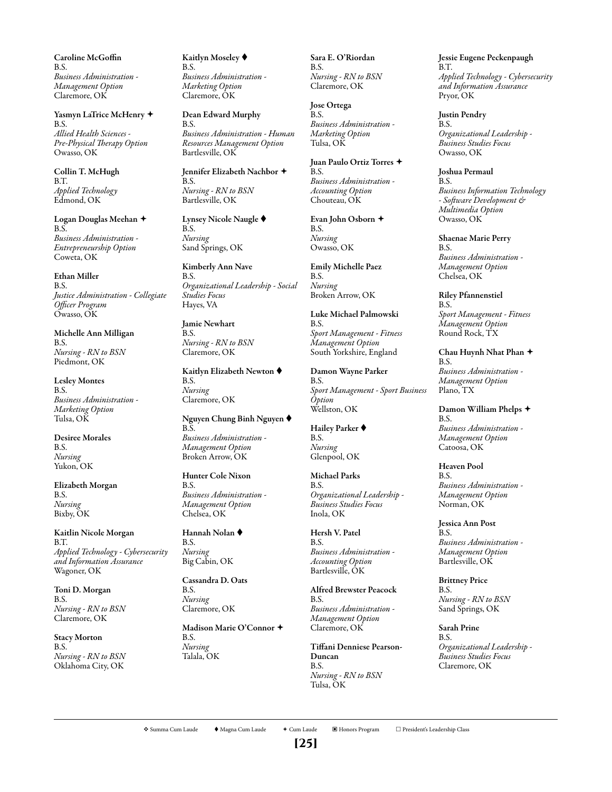Caroline McGoffin B.S. *Business Administration - Management Option* Claremore, OK

Yasmyn LaTrice McHenry + B.S. *Allied Health Sciences - Pre-Physical Therapy Option* Owasso, OK

Collin T. McHugh B.T. *Applied Technology* Edmond, OK

Logan Douglas Meehan B.S. *Business Administration - Entrepreneurship Option* Coweta, OK

Ethan Miller B.S. *Justice Administration - Collegiate Officer Program* Owasso, OK

Michelle Ann Milligan B.S. *Nursing - RN to BSN* Piedmont, OK

Lesley Montes B.S. *Business Administration - Marketing Option* Tulsa, OK

Desiree Morales B.S. *Nursing* Yukon, OK

Elizabeth Morgan B.S. *Nursing* Bixby, OK

Kaitlin Nicole Morgan B.T. *Applied Technology - Cybersecurity and Information Assurance* Wagoner, OK

Toni D. Morgan B.S. *Nursing - RN to BSN* Claremore, OK

Stacy Morton B.S. *Nursing - RN to BSN* Oklahoma City, OK

Kaitlyn Moseley ♦ B.S. *Business Administration - Marketing Option* Claremore, OK

Dean Edward Murphy B.S. *Business Administration - Human Resources Management Option* Bartlesville, OK

Jennifer Elizabeth Nachbor B.S. *Nursing - RN to BSN* Bartlesville, OK

Lynsey Nicole Naugle  $\blacklozenge$ B.S. *Nursing* Sand Springs, OK

Kimberly Ann Nave B.S. *Organizational Leadership - Social Studies Focus* Hayes, VA

Jamie Newhart B.S. *Nursing - RN to BSN* Claremore, OK

Kaitlyn Elizabeth Newton  $\blacklozenge$ B.S. *Nursing* Claremore, OK

Nguyen Chung Binh Nguyen ♦ B.S. *Business Administration - Management Option* Broken Arrow, OK

Hunter Cole Nixon B.S. *Business Administration - Management Option* Chelsea, OK

Hannah Nolan B.S. *Nursing* Big Cabin, OK

Cassandra D. Oats B.S. *Nursing* Claremore, OK

Madison Marie O'Connor B.S. *Nursing* Talala, OK

Sara E. O'Riordan B.S. *Nursing - RN to BSN* Claremore, OK

Jose Ortega B.S. *Business Administration - Marketing Option* Tulsa, OK

Juan Paulo Ortiz Torres B.S. *Business Administration - Accounting Option* Chouteau, OK

Evan John Osborn B.S. *Nursing* Owasso, OK

Emily Michelle Paez B.S. *Nursing* Broken Arrow, OK

Luke Michael Palmowski B.S. *Sport Management - Fitness Management Option* South Yorkshire, England

Damon Wayne Parker B.S. *Sport Management - Sport Business Option* Wellston, OK

Hailey Parker  $\blacklozenge$ B.S. *Nursing* Glenpool, OK

Michael Parks B.S. *Organizational Leadership - Business Studies Focus* Inola, OK

Hersh V. Patel B.S. *Business Administration - Accounting Option* Bartlesville, OK

Alfred Brewster Peacock B.S. *Business Administration - Management Option* Claremore, OK

Tiffani Denniese Pearson-Duncan B.S. *Nursing - RN to BSN* Tulsa, OK

Jessie Eugene Peckenpaugh B.T. *Applied Technology - Cybersecurity and Information Assurance* Pryor, OK

Justin Pendry B.S. *Organizational Leadership - Business Studies Focus* Owasso, OK

Joshua Permaul B.S. *Business Information Technology - Software Development & Multimedia Option* Owasso, OK

Shaenae Marie Perry B.S. *Business Administration - Management Option* Chelsea, OK

Riley Pfannenstiel B.S. *Sport Management - Fitness Management Option* Round Rock, TX

Chau Huynh Nhat Phan B.S. *Business Administration - Management Option* Plano, TX

Damon William Phelps B.S. *Business Administration - Management Option* Catoosa, OK

Heaven Pool B.S. *Business Administration - Management Option* Norman, OK

Jessica Ann Post B.S. *Business Administration - Management Option* Bartlesville, OK

Brittney Price B.S. *Nursing - RN to BSN* Sand Springs, OK

Sarah Prine B.S. *Organizational Leadership - Business Studies Focus* Claremore, OK

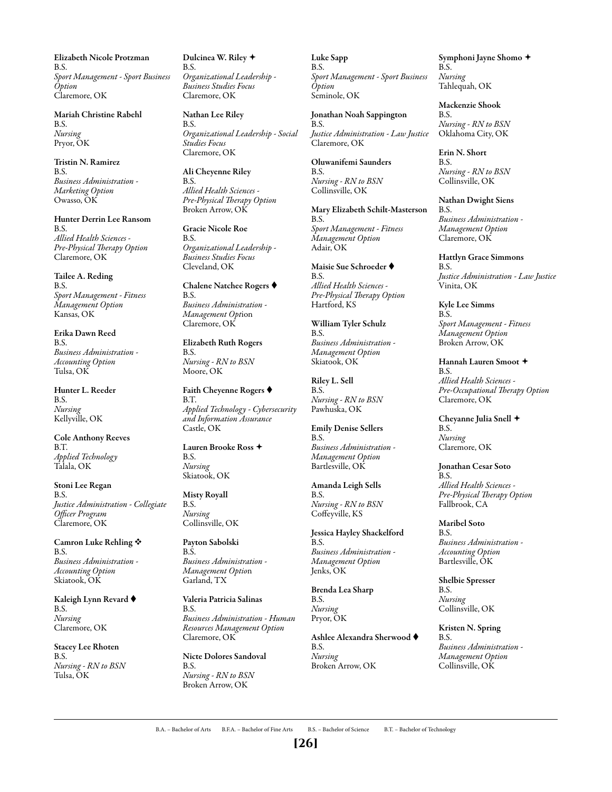Elizabeth Nicole Protzman B.S. *Sport Management - Sport Business Option* Claremore, OK

Mariah Christine Rabehl B.S. *Nursing* Pryor, OK

Tristin N. Ramirez B.S. *Business Administration - Marketing Option* Owasso, OK

Hunter Derrin Lee Ransom B.S. *Allied Health Sciences - Pre-Physical Therapy Option* Claremore, OK

Tailee A. Reding B.S. *Sport Management - Fitness Management Option* Kansas, OK

Erika Dawn Reed B.S. *Business Administration - Accounting Option* Tulsa, OK

Hunter L. Reeder B.S. *Nursing* Kellyville, OK

Cole Anthony Reeves B.T. *Applied Technology* Talala, OK

Stoni Lee Regan B.S. *Justice Administration - Collegiate Officer Program* Claremore, OK

Camron Luke Rehling � B.S. *Business Administration - Accounting Option* Skiatook, OK

Kaleigh Lynn Revard  $\blacklozenge$ B.S. *Nursing* Claremore, OK

Stacey Lee Rhoten B.S. *Nursing - RN to BSN* Tulsa, OK

Dulcinea W. Riley B.S. *Organizational Leadership - Business Studies Focus* Claremore, OK

Nathan Lee Riley B.S. *Organizational Leadership - Social Studies Focus* Claremore, OK

Ali Cheyenne Riley B.S. *Allied Health Sciences - Pre-Physical Therapy Option* Broken Arrow, OK

Gracie Nicole Roe B.S. *Organizational Leadership - Business Studies Focus* Cleveland, OK

Chalene Natchee Rogers  $\blacklozenge$ B.S. *Business Administration - Management Opt*ion Claremore, OK

Elizabeth Ruth Rogers B.S. *Nursing - RN to BSN* Moore, OK

Faith Cheyenne Rogers  $\blacklozenge$ B.T. *Applied Technology - Cybersecurity and Information Assurance* Castle, OK

Lauren Brooke Ross B.S. *Nursing* Skiatook, OK

Misty Royall B.S. *Nursing* Collinsville, OK

Payton Sabolski B.S. *Business Administration - Management Optio*n Garland, TX

Valeria Patricia Salinas B.S. *Business Administration - Human Resources Management Option* Claremore, OK

Nicte Dolores Sandoval B.S. *Nursing - RN to BSN* Broken Arrow, OK

Luke Sapp B.S. *Sport Management - Sport Business Option* Seminole, OK

Jonathan Noah Sappington B.S. *Justice Administration - Law Justice* Claremore, OK

Oluwanifemi Saunders B.S. *Nursing - RN to BSN* Collinsville, OK

Mary Elizabeth Schilt-Masterson B.S. *Sport Management - Fitness Management Option* Adair, OK

Maisie Sue Schroeder  $\blacklozenge$ B.S. *Allied Health Sciences - Pre-Physical Therapy Option* Hartford, KS

William Tyler Schulz B.S. *Business Administration - Management Option* Skiatook, OK

Riley L. Sell B.S. *Nursing - RN to BSN* Pawhuska, OK

Emily Denise Sellers B.S. *Business Administration - Management Option* Bartlesville, OK

Amanda Leigh Sells B.S. *Nursing - RN to BSN* Coffeyville, KS

Jessica Hayley Shackelford B.S. *Business Administration - Management Option* Jenks, OK

Brenda Lea Sharp B.S. *Nursing* Pryor, OK

Ashlee Alexandra Sherwood  $\blacklozenge$ B.S. *Nursing* Broken Arrow, OK

Symphoni Jayne Shomo B.S. *Nursing* Tahlequah, OK

Mackenzie Shook

B.S. *Nursing - RN to BSN* Oklahoma City, OK

Erin N. Short B.S. *Nursing - RN to BSN* Collinsville, OK

Nathan Dwight Siens B.S.

*Business Administration - Management Option* Claremore, OK

Hattlyn Grace Simmons B.S. *Justice Administration - Law Justice* Vinita, OK

Kyle Lee Simms B.S. *Sport Management - Fitness Management Option* Broken Arrow, OK

Hannah Lauren Smoot B.S. *Allied Health Sciences - Pre-Occupational Therapy Option* Claremore, OK

Cheyanne Julia Snell B.S. *Nursing* Claremore, OK

Jonathan Cesar Soto B.S. *Allied Health Sciences - Pre-Physical Therapy Option*

Fallbrook, CA Maribel Soto B.S.

*Business Administration - Accounting Option* Bartlesville, OK

Shelbie Spresser B.S. *Nursing* Collinsville, OK

Kristen N. Spring B.S. *Business Administration - Management Option* Collinsville, OK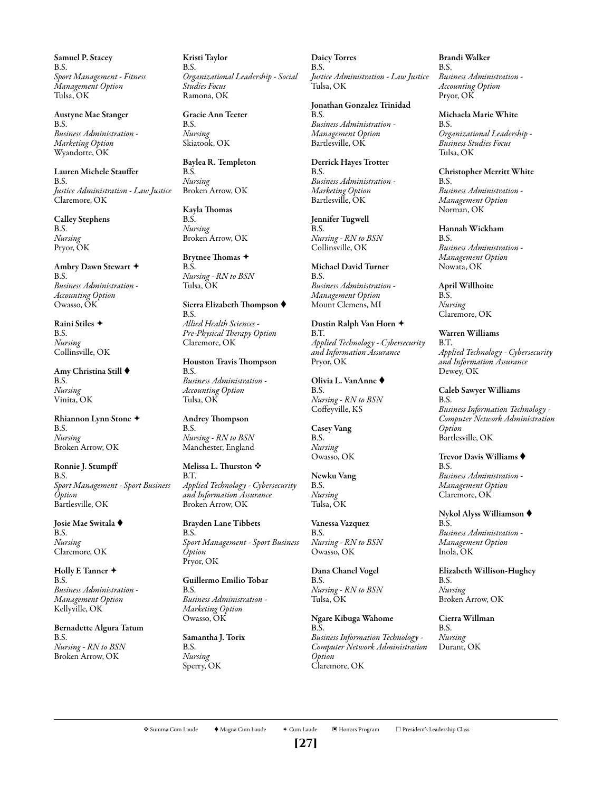Samuel P. Stacey B.S. *Sport Management - Fitness Management Option* Tulsa, OK

Austyne Mae Stanger B.S. *Business Administration - Marketing Option* Wyandotte, OK

Lauren Michele Stauffer B.S. *Justice Administration - Law Justice* Claremore, OK

Calley Stephens B.S. *Nursing* Pryor, OK

Ambry Dawn Stewart B.S. *Business Administration - Accounting Option* Owasso, OK

Raini Stiles B.S. *Nursing* Collinsville, OK

Amy Christina Still ♦ B.S. *Nursing* Vinita, OK

Rhiannon Lynn Stone B.S. *Nursing* Broken Arrow, OK

Ronnie J. Stumpff B.S. *Sport Management - Sport Business Option* Bartlesville, OK

Josie Mae Switala ♦ B.S. *Nursing* Claremore, OK

Holly E Tanner  $\blacklozenge$ B.S. *Business Administration - Management Option* Kellyville, OK

Bernadette Algura Tatum B.S. *Nursing - RN to BSN* Broken Arrow, OK

Kristi Taylor B.S. *Organizational Leadership - Social Studies Focus* Ramona, OK

Gracie Ann Teeter B.S. *Nursing* Skiatook, OK

Baylea R. Templeton B.S. *Nursing* Broken Arrow, OK

Kayla Thomas B.S. *Nursing* Broken Arrow, OK

Brytnee Thomas B.S. *Nursing - RN to BSN* Tulsa, OK

Sierra Elizabeth Thompson  $\blacklozenge$ B.S. *Allied Health Sciences - Pre-Physical Therapy Option* Claremore, OK

Houston Travis Thompson B.S. *Business Administration - Accounting Option* Tulsa, OK

Andrey Thompson B.S. *Nursing - RN to BSN* Manchester, England

Melissa L. Thurston ❖ B.T. *Applied Technology - Cybersecurity and Information Assurance* Broken Arrow, OK

Brayden Lane Tibbets B.S. *Sport Management - Sport Business Option* Pryor, OK

Guillermo Emilio Tobar B.S. *Business Administration - Marketing Option* Owasso, OK

Samantha J. Torix B.S. *Nursing* Sperry, OK

Daicy Torres B.S. *Justice Administration - Law Justice* Tulsa, OK

Jonathan Gonzalez Trinidad B.S. *Business Administration - Management Option* Bartlesville, OK

Derrick Hayes Trotter B.S. *Business Administration - Marketing Option* Bartlesville, OK

Jennifer Tugwell B.S. *Nursing - RN to BSN* Collinsville, OK

Michael David Turner B.S. *Business Administration - Management Option* Mount Clemens, MI

Dustin Ralph Van Horn B.T. *Applied Technology - Cybersecurity and Information Assurance* Pryor, OK

Olivia L. VanAnne ♦ B.S. *Nursing - RN to BSN* Coffeyville, KS

Casey Vang B.S. *Nursing* Owasso, OK

Newku Vang B.S. *Nursing* Tulsa, OK

Vanessa Vazquez B.S. *Nursing - RN to BSN* Owasso, OK

Dana Chanel Vogel B.S. *Nursing - RN to BSN* Tulsa, OK

Ngare Kibuga Wahome B.S. *Business Information Technology - Computer Network Administration Option* Claremore, OK

Brandi Walker B.S. *Business Administration - Accounting Option* Pryor, OK

Michaela Marie White B.S. *Organizational Leadership - Business Studies Focus*

Tulsa, OK

Christopher Merritt White B.S. *Business Administration - Management Option* Norman, OK

Hannah Wickham B.S. *Business Administration - Management Option* Nowata, OK

April Willhoite B.S. *Nursing* Claremore, OK

Warren Williams B.T. *Applied Technology - Cybersecurity and Information Assurance* Dewey, OK

Caleb Sawyer Williams B.S. *Business Information Technology - Computer Network Administration Option* Bartlesville, OK

Trevor Davis Williams  $\blacklozenge$ B.S. *Business Administration - Management Option* Claremore, OK

Nykol Alyss Williamson ♦ B.S. *Business Administration - Management Option* Inola, OK

Elizabeth Willison-Hughey B.S. *Nursing* Broken Arrow, OK

Cierra Willman B.S. *Nursing* Durant, OK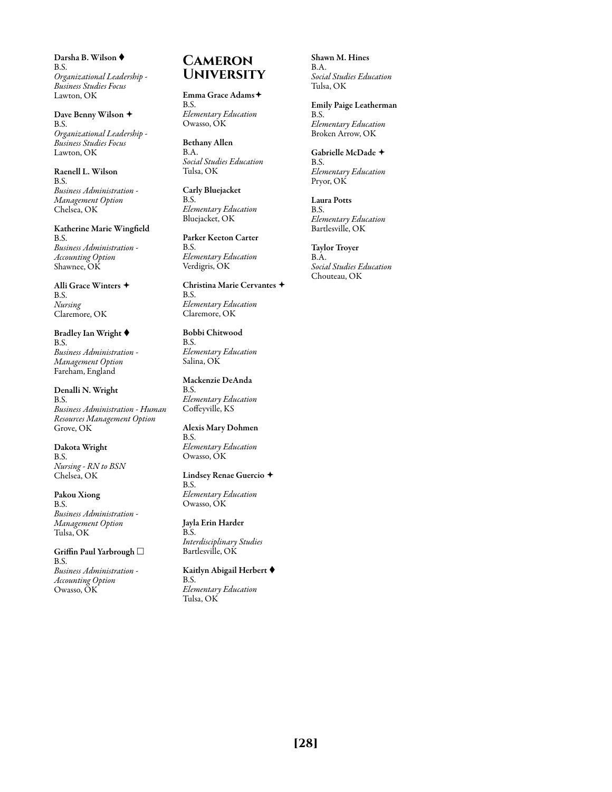Darsha B. Wilson ♦ B.S. *Organizational Leadership - Business Studies Focus* Lawton, OK

Dave Benny Wilson + B.S. *Organizational Leadership - Business Studies Focus* Lawton, OK

Raenell L. Wilson B.S. *Business Administration - Management Option* Chelsea, OK

Katherine Marie Wingfield B.S. *Business Administration - Accounting Option* Shawnee, OK

Alli Grace Winters B.S. *Nursing* Claremore, OK

Bradley Ian Wright  $\blacklozenge$ B.S. *Business Administration - Management Option* Fareham, England

Denalli N. Wright B.S. *Business Administration - Human Resources Management Option* Grove, OK

Dakota Wright B.S. *Nursing - RN to BSN* Chelsea, OK

Pakou Xiong B.S. *Business Administration - Management Option* Tulsa, OK

Griffin Paul Yarbrough  $\Box$ B.S. *Business Administration - Accounting Option* Owasso, OK

### **Cameron University**

Emma Grace Adams B.S. *Elementary Education*

Owasso, OK

Bethany Allen B.A. *Social Studies Education* Tulsa, OK

Carly Bluejacket B.S. *Elementary Education* Bluejacket, OK

Parker Keeton Carter B.S. *Elementary Education* Verdigris, OK

Christina Marie Cervantes B.S. *Elementary Education* Claremore, OK

Bobbi Chitwood B.S. *Elementary Education* Salina, OK

Mackenzie DeAnda B.S. *Elementary Education* Coffeyville, KS

Alexis Mary Dohmen B.S. *Elementary Education* Owasso, OK

Lindsey Renae Guercio B.S. *Elementary Education* Owasso, OK

Jayla Erin Harder B.S. *Interdisciplinary Studies* Bartlesville, OK

Kaitlyn Abigail Herbert  $\blacklozenge$ B.S. *Elementary Education* Tulsa, OK

Shawn M. Hines B.A. *Social Studies Education* Tulsa, OK

Emily Paige Leatherman B.S. *Elementary Education* Broken Arrow, OK

Gabrielle McDade + B.S. *Elementary Education* Pryor, OK

Laura Potts B.S. *Elementary Education* Bartlesville, OK

Taylor Troyer B.A. *Social Studies Education* Chouteau, OK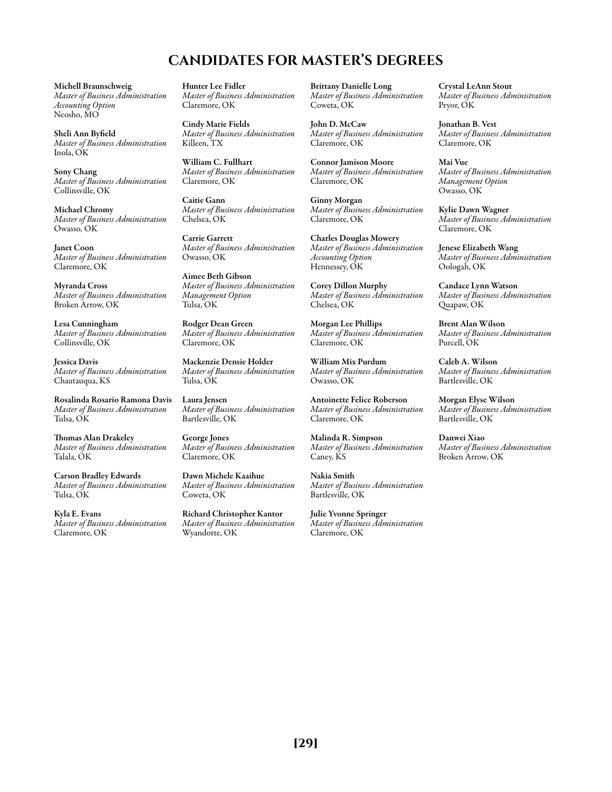# **CANDIDATES FOR MASTER'S DEGREES**

Michell Braunschweig *Master of Business Administration Accounting Option* Neosho, MO

Sheli Ann Byfield *Master of Business Administration* Inola, OK

Sony Chang *Master of Business Administration* Collinsville, OK

Michael Chromy *Master of Business Administration* Owasso, OK

Janet Coon *Master of Business Administration* Claremore, OK

Myranda Cross *Master of Business Administration* Broken Arrow, OK

Lesa Cunningham *Master of Business Administration* Collinsville, OK

Jessica Davis *Master of Business Administration* Chautauqua, KS

Rosalinda Rosario Ramona Davis *Master of Business Administration* Tulsa, OK

Thomas Alan Drakeley *Master of Business Administration* Talala,  $\ddot{\mathrm{O}}$ K

Carson Bradley Edwards *Master of Business Administration* Tulsa, OK

Kyla E. Evans *Master of Business Administration* Claremore, OK

Hunter Lee Fidler *Master of Business Administration* Claremore, OK

Cindy Marie Fields *Master of Business Administration* Killeen, TX

William C. Fullhart *Master of Business Administration* Claremore, OK

Caitie Gann *Master of Business Administration* Chelsea, OK

Carrie Garrett *Master of Business Administration* Owasso, OK

Aimee Beth Gibson *Master of Business Administration Management Option* Tulsa, OK

Rodger Dean Green *Master of Business Administration* Claremore, OK

Mackenzie Densie Holder *Master of Business Administration* Tulsa, OK

Laura Jensen *Master of Business Administration* Bartlesville, OK

George Jones *Master of Business Administration* Claremore, OK

Dawn Michele Kaaihue *Master of Business Administration* Coweta, OK

Richard Christopher Kantor *Master of Business Administration* Wyandotte, OK

Brittany Danielle Long *Master of Business Administration* Coweta, OK

John D. McCaw *Master of Business Administration* Claremore, OK

Connor Jamison Moore *Master of Business Administration* Claremore, OK

Ginny Morgan *Master of Business Administration* Claremore, OK

Charles Douglas Mowery *Master of Business Administration Accounting Option* Hennessey, OK

Corey Dillon Murphy *Master of Business Administration* Chelsea, OK

Morgan Lee Phillips *Master of Business Administration* Claremore, OK

William Mix Purdum *Master of Business Administration* Owasso, OK

Antoinette Felice Roberson *Master of Business Administration* Claremore, OK

Malinda R. Simpson *Master of Business Administration* Caney, KS

Nakia Smith *Master of Business Administration* Bartlesville, OK

Julie Yvonne Springer *Master of Business Administration* Claremore, OK

Crystal LeAnn Stout *Master of Business Administration* Pryor, OK

Jonathan B. Vest *Master of Business Administration* Claremore, OK

Mai Vue *Master of Business Administration Management Option* Owasso, OK

Kylie Dawn Wagner *Master of Business Administration* Claremore, OK

Jenese Elizabeth Wang *Master of Business Administration* Oologah, OK

Candace Lynn Watson *Master of Business Administration* Quapaw, OK

Brent Alan Wilson *Master of Business Administration* Purcell, OK

Caleb A. Wilson *Master of Business Administration* Bartlesville, OK

Morgan Elyse Wilson *Master of Business Administration* Bartlesville, OK

Danwei Xiao *Master of Business Administration* Broken Arrow, OK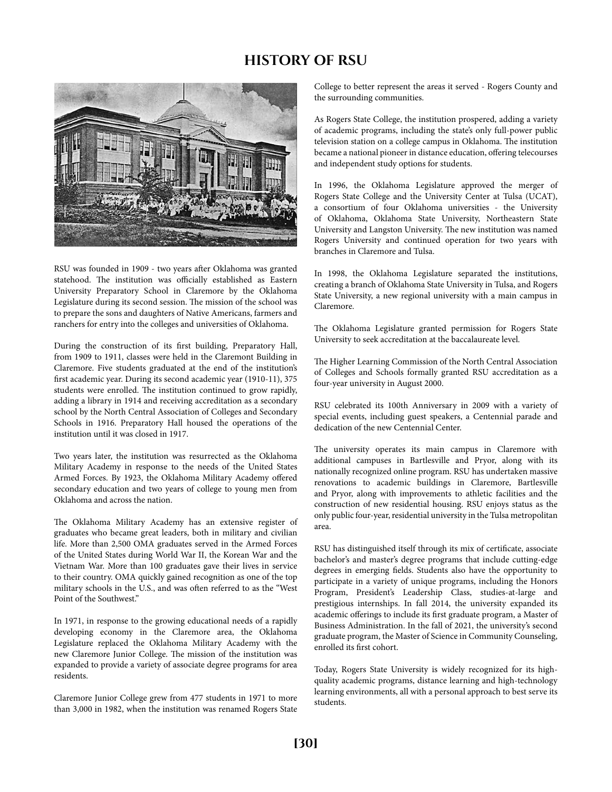### **HISTORY OF RSU**



RSU was founded in 1909 - two years after Oklahoma was granted statehood. The institution was officially established as Eastern University Preparatory School in Claremore by the Oklahoma Legislature during its second session. The mission of the school was to prepare the sons and daughters of Native Americans, farmers and ranchers for entry into the colleges and universities of Oklahoma.

During the construction of its first building, Preparatory Hall, from 1909 to 1911, classes were held in the Claremont Building in Claremore. Five students graduated at the end of the institution's first academic year. During its second academic year (1910-11), 375 students were enrolled. The institution continued to grow rapidly, adding a library in 1914 and receiving accreditation as a secondary school by the North Central Association of Colleges and Secondary Schools in 1916. Preparatory Hall housed the operations of the institution until it was closed in 1917.

Two years later, the institution was resurrected as the Oklahoma Military Academy in response to the needs of the United States Armed Forces. By 1923, the Oklahoma Military Academy offered secondary education and two years of college to young men from Oklahoma and across the nation.

The Oklahoma Military Academy has an extensive register of graduates who became great leaders, both in military and civilian life. More than 2,500 OMA graduates served in the Armed Forces of the United States during World War II, the Korean War and the Vietnam War. More than 100 graduates gave their lives in service to their country. OMA quickly gained recognition as one of the top military schools in the U.S., and was often referred to as the "West Point of the Southwest."

In 1971, in response to the growing educational needs of a rapidly developing economy in the Claremore area, the Oklahoma Legislature replaced the Oklahoma Military Academy with the new Claremore Junior College. The mission of the institution was expanded to provide a variety of associate degree programs for area residents.

Claremore Junior College grew from 477 students in 1971 to more than 3,000 in 1982, when the institution was renamed Rogers State

College to better represent the areas it served - Rogers County and the surrounding communities.

As Rogers State College, the institution prospered, adding a variety of academic programs, including the state's only full-power public television station on a college campus in Oklahoma. The institution became a national pioneer in distance education, offering telecourses and independent study options for students.

In 1996, the Oklahoma Legislature approved the merger of Rogers State College and the University Center at Tulsa (UCAT), a consortium of four Oklahoma universities - the University of Oklahoma, Oklahoma State University, Northeastern State University and Langston University. The new institution was named Rogers University and continued operation for two years with branches in Claremore and Tulsa.

In 1998, the Oklahoma Legislature separated the institutions, creating a branch of Oklahoma State University in Tulsa, and Rogers State University, a new regional university with a main campus in Claremore.

The Oklahoma Legislature granted permission for Rogers State University to seek accreditation at the baccalaureate level.

The Higher Learning Commission of the North Central Association of Colleges and Schools formally granted RSU accreditation as a four-year university in August 2000.

RSU celebrated its 100th Anniversary in 2009 with a variety of special events, including guest speakers, a Centennial parade and dedication of the new Centennial Center.

The university operates its main campus in Claremore with additional campuses in Bartlesville and Pryor, along with its nationally recognized online program. RSU has undertaken massive renovations to academic buildings in Claremore, Bartlesville and Pryor, along with improvements to athletic facilities and the construction of new residential housing. RSU enjoys status as the only public four-year, residential university in the Tulsa metropolitan area.

RSU has distinguished itself through its mix of certificate, associate bachelor's and master's degree programs that include cutting-edge degrees in emerging fields. Students also have the opportunity to participate in a variety of unique programs, including the Honors Program, President's Leadership Class, studies-at-large and prestigious internships. In fall 2014, the university expanded its academic offerings to include its first graduate program, a Master of Business Administration. In the fall of 2021, the university's second graduate program, the Master of Science in Community Counseling, enrolled its first cohort.

Today, Rogers State University is widely recognized for its highquality academic programs, distance learning and high-technology learning environments, all with a personal approach to best serve its students.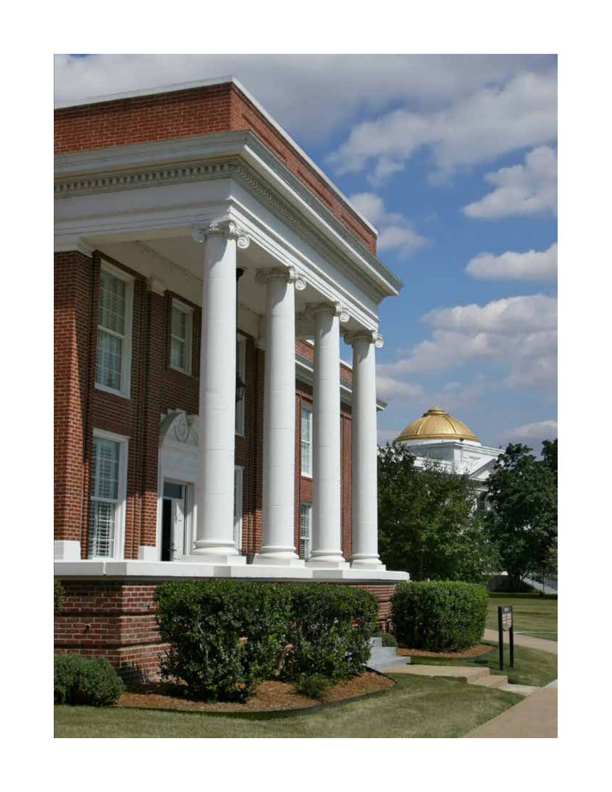